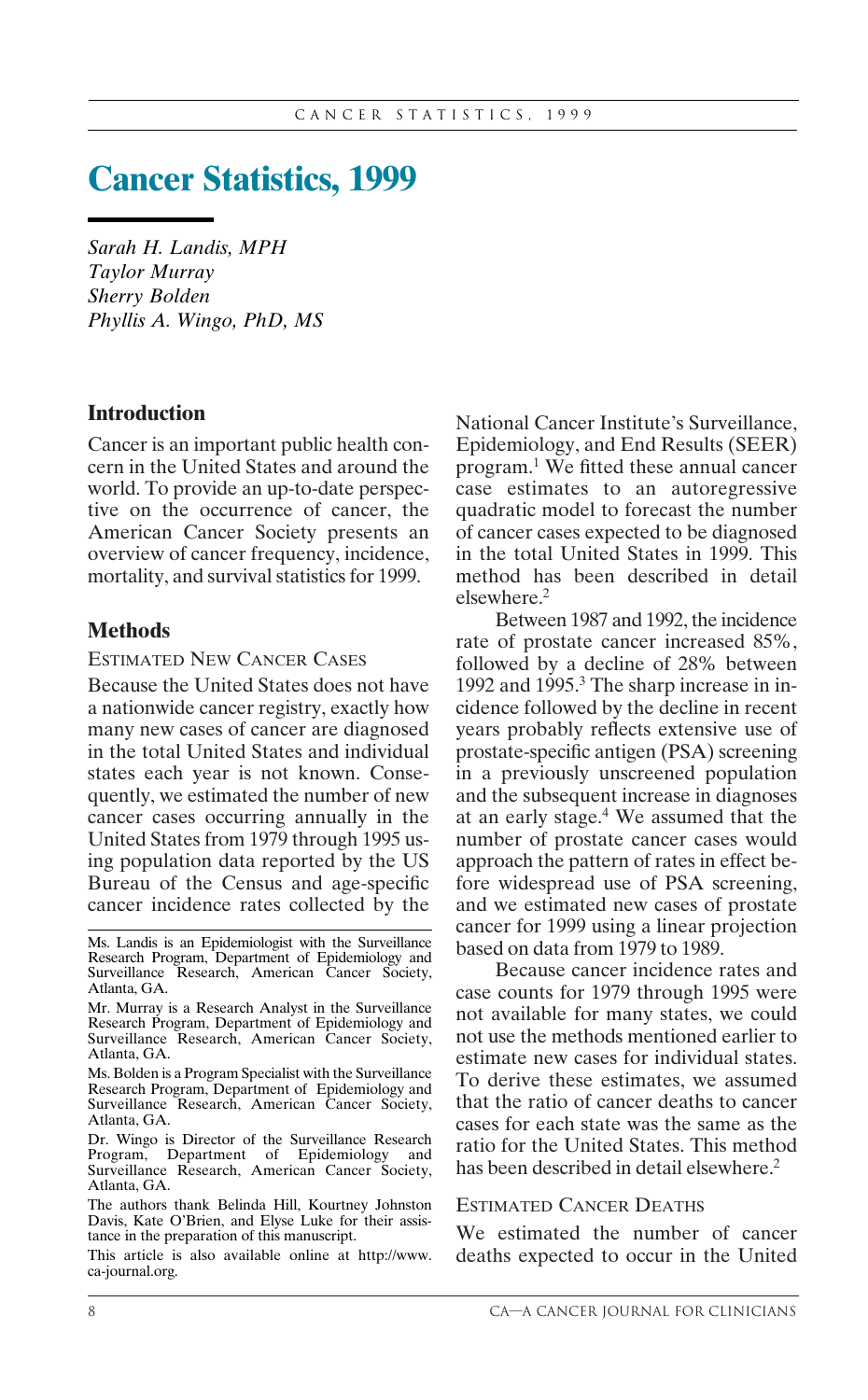# **Cancer Statistics, 1999**

*Sarah H. Landis, MPH Taylor Murray Sherry Bolden Phyllis A. Wingo, PhD, MS*

# **Introduction**

Cancer is an important public health concern in the United States and around the world. To provide an up-to-date perspective on the occurrence of cancer, the American Cancer Society presents an overview of cancer frequency, incidence, mortality, and survival statistics for 1999.

### **Methods**

#### ESTIMATED NEW CANCER CASES

Because the United States does not have a nationwide cancer registry, exactly how many new cases of cancer are diagnosed in the total United States and individual states each year is not known. Consequently, we estimated the number of new cancer cases occurring annually in the United States from 1979 through 1995 using population data reported by the US Bureau of the Census and age-specific cancer incidence rates collected by the

National Cancer Institute's Surveillance, Epidemiology, and End Results (SEER) program.1 We fitted these annual cancer case estimates to an autoregressive quadratic model to forecast the number of cancer cases expected to be diagnosed in the total United States in 1999. This method has been described in detail elsewhere.2

Between 1987 and 1992, the incidence rate of prostate cancer increased 85%, followed by a decline of 28% between 1992 and 1995.<sup>3</sup> The sharp increase in incidence followed by the decline in recent years probably reflects extensive use of prostate-specific antigen (PSA) screening in a previously unscreened population and the subsequent increase in diagnoses at an early stage.4 We assumed that the number of prostate cancer cases would approach the pattern of rates in effect before widespread use of PSA screening, and we estimated new cases of prostate cancer for 1999 using a linear projection based on data from 1979 to 1989.

Because cancer incidence rates and case counts for 1979 through 1995 were not available for many states, we could not use the methods mentioned earlier to estimate new cases for individual states. To derive these estimates, we assumed that the ratio of cancer deaths to cancer cases for each state was the same as the ratio for the United States. This method has been described in detail elsewhere.<sup>2</sup>

#### ESTIMATED CANCER DEATHS

We estimated the number of cancer deaths expected to occur in the United

Ms. Landis is an Epidemiologist with the Surveillance Research Program, Department of Epidemiology and Surveillance Research, American Cancer Society, Atlanta, GA.

Mr. Murray is a Research Analyst in the Surveillance Research Program, Department of Epidemiology and Surveillance Research, American Cancer Society, Atlanta, GA.

Ms. Bolden is a Program Specialist with the Surveillance Research Program, Department of Epidemiology and Surveillance Research, American Cancer Society, Atlanta, GA.

Dr. Wingo is Director of the Surveillance Research Program, Department of Epidemiology and Surveillance Research, American Cancer Society, Atlanta, GA.

The authors thank Belinda Hill, Kourtney Johnston Davis, Kate O'Brien, and Elyse Luke for their assistance in the preparation of this manuscript.

This article is also available online at http://www. ca-journal.org.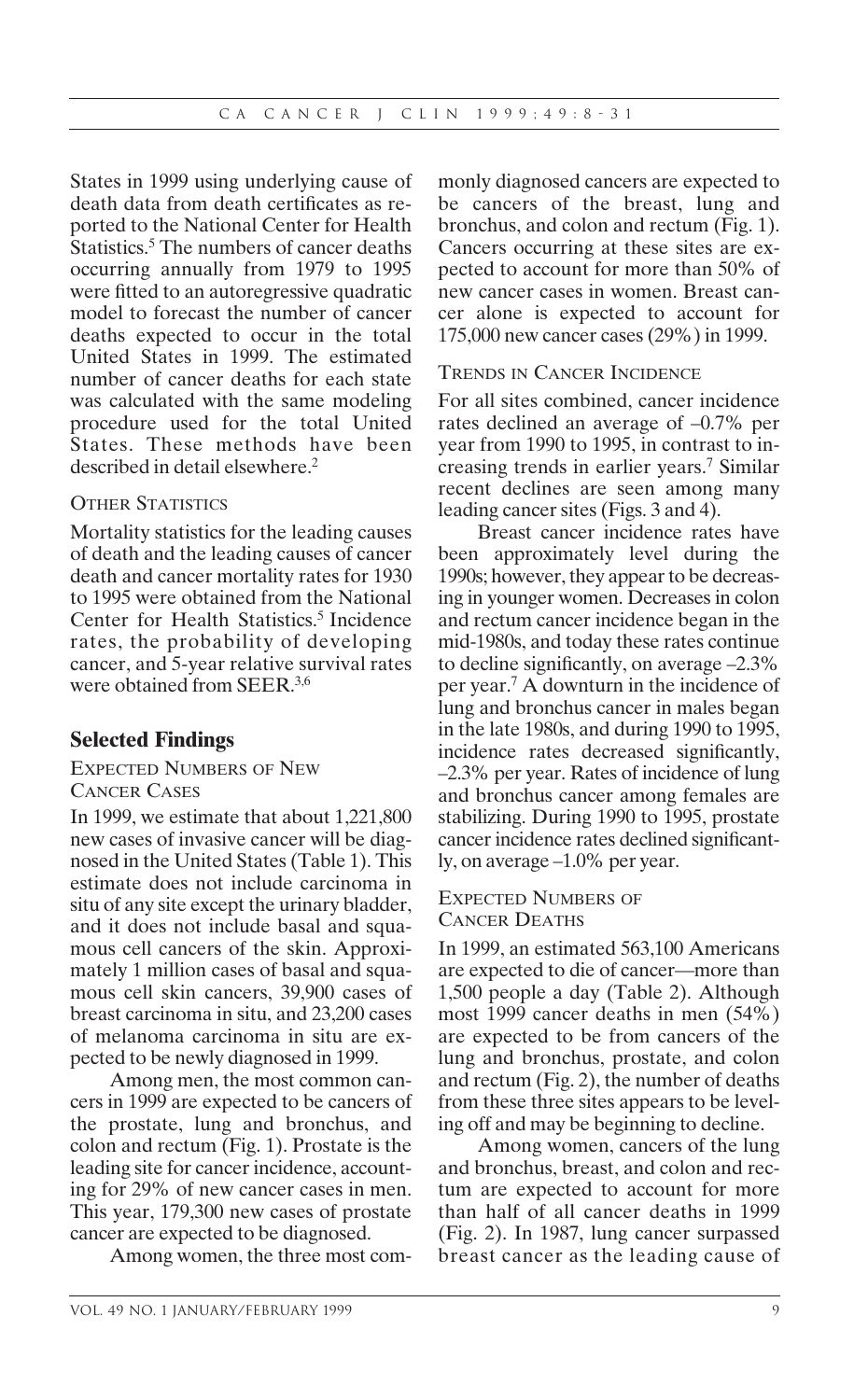States in 1999 using underlying cause of death data from death certificates as reported to the National Center for Health Statistics.<sup>5</sup> The numbers of cancer deaths occurring annually from 1979 to 1995 were fitted to an autoregressive quadratic model to forecast the number of cancer deaths expected to occur in the total United States in 1999. The estimated number of cancer deaths for each state was calculated with the same modeling procedure used for the total United States. These methods have been described in detail elsewhere.<sup>2</sup>

# OTHER STATISTICS

Mortality statistics for the leading causes of death and the leading causes of cancer death and cancer mortality rates for 1930 to 1995 were obtained from the National Center for Health Statistics.<sup>5</sup> Incidence rates, the probability of developing cancer, and 5-year relative survival rates were obtained from SEER.3,6

# **Selected Findings**

#### EXPECTED NUMBERS OF NEW CANCER CASES

In 1999, we estimate that about 1,221,800 new cases of invasive cancer will be diagnosed in the United States (Table 1). This estimate does not include carcinoma in situ of any site except the urinary bladder, and it does not include basal and squamous cell cancers of the skin. Approximately 1 million cases of basal and squamous cell skin cancers, 39,900 cases of breast carcinoma in situ, and 23,200 cases of melanoma carcinoma in situ are expected to be newly diagnosed in 1999.

Among men, the most common cancers in 1999 are expected to be cancers of the prostate, lung and bronchus, and colon and rectum (Fig. 1). Prostate is the leading site for cancer incidence, accounting for 29% of new cancer cases in men. This year, 179,300 new cases of prostate cancer are expected to be diagnosed.

Among women, the three most com-

monly diagnosed cancers are expected to be cancers of the breast, lung and bronchus, and colon and rectum (Fig. 1). Cancers occurring at these sites are expected to account for more than 50% of new cancer cases in women. Breast cancer alone is expected to account for 175,000 new cancer cases (29%) in 1999.

#### TRENDS IN CANCER INCIDENCE

For all sites combined, cancer incidence rates declined an average of –0.7% per year from 1990 to 1995, in contrast to increasing trends in earlier years.7 Similar recent declines are seen among many leading cancer sites (Figs. 3 and 4).

Breast cancer incidence rates have been approximately level during the 1990s; however, they appear to be decreasing in younger women. Decreases in colon and rectum cancer incidence began in the mid-1980s, and today these rates continue to decline significantly, on average –2.3% per year.7 A downturn in the incidence of lung and bronchus cancer in males began in the late 1980s, and during 1990 to 1995, incidence rates decreased significantly, –2.3% per year. Rates of incidence of lung and bronchus cancer among females are stabilizing. During 1990 to 1995, prostate cancer incidence rates declined significantly, on average –1.0% per year.

#### EXPECTED NUMBERS OF CANCER DEATHS

In 1999, an estimated 563,100 Americans are expected to die of cancer—more than 1,500 people a day (Table 2). Although most 1999 cancer deaths in men (54%) are expected to be from cancers of the lung and bronchus, prostate, and colon and rectum (Fig. 2), the number of deaths from these three sites appears to be leveling off and may be beginning to decline.

Among women, cancers of the lung and bronchus, breast, and colon and rectum are expected to account for more than half of all cancer deaths in 1999 (Fig. 2). In 1987, lung cancer surpassed breast cancer as the leading cause of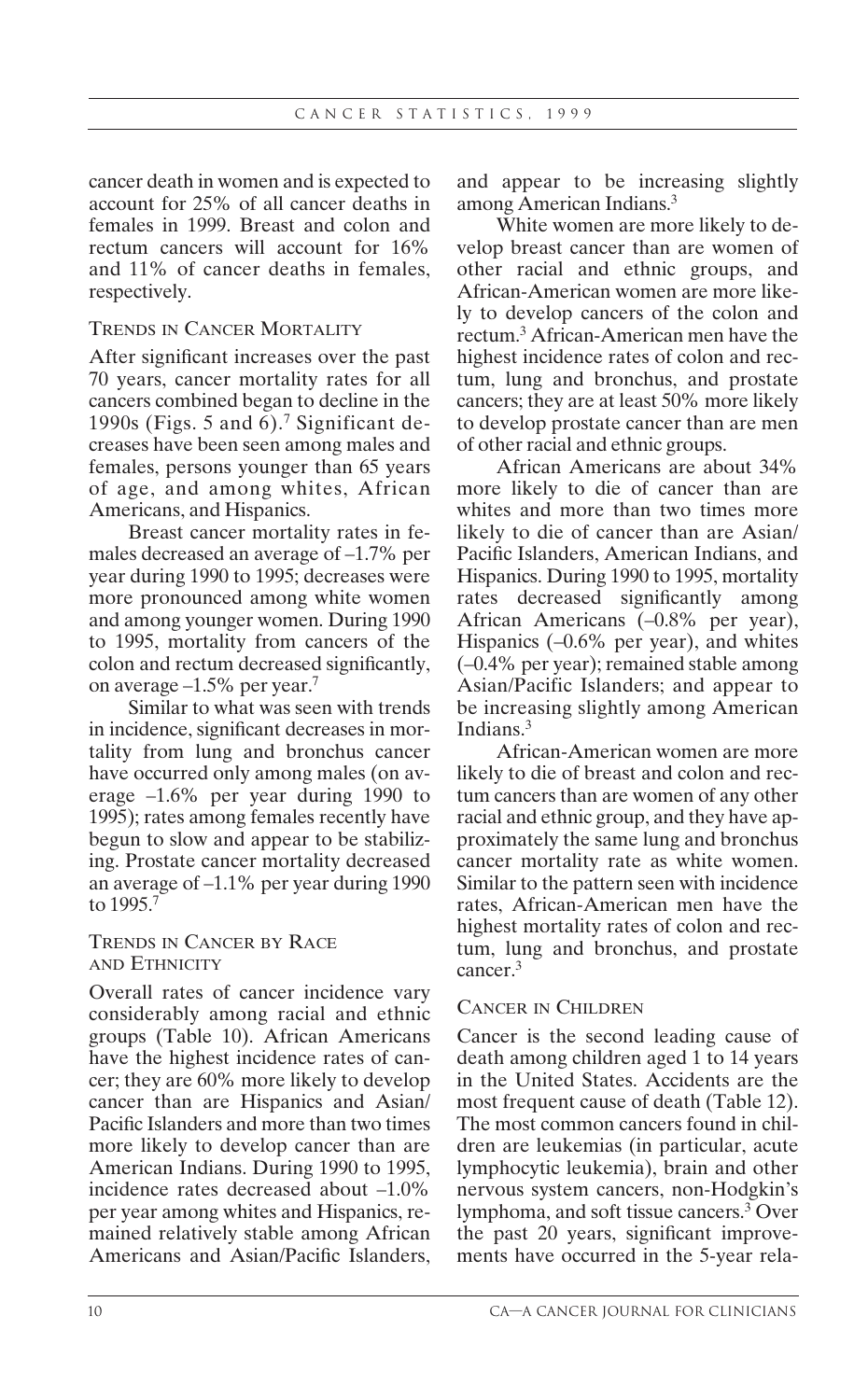cancer death in women and is expected to account for 25% of all cancer deaths in females in 1999. Breast and colon and rectum cancers will account for 16% and 11% of cancer deaths in females, respectively.

### TRENDS IN CANCER MORTALITY

After significant increases over the past 70 years, cancer mortality rates for all cancers combined began to decline in the 1990s (Figs. 5 and 6).<sup>7</sup> Significant decreases have been seen among males and females, persons younger than 65 years of age, and among whites, African Americans, and Hispanics.

Breast cancer mortality rates in females decreased an average of –1.7% per year during 1990 to 1995; decreases were more pronounced among white women and among younger women. During 1990 to 1995, mortality from cancers of the colon and rectum decreased significantly, on average –1.5% per year.7

Similar to what was seen with trends in incidence, significant decreases in mortality from lung and bronchus cancer have occurred only among males (on average –1.6% per year during 1990 to 1995); rates among females recently have begun to slow and appear to be stabilizing. Prostate cancer mortality decreased an average of –1.1% per year during 1990 to 1995.7

### TRENDS IN CANCER BY RACE AND ETHNICITY

Overall rates of cancer incidence vary considerably among racial and ethnic groups (Table 10). African Americans have the highest incidence rates of cancer; they are 60% more likely to develop cancer than are Hispanics and Asian/ Pacific Islanders and more than two times more likely to develop cancer than are American Indians. During 1990 to 1995, incidence rates decreased about –1.0% per year among whites and Hispanics, remained relatively stable among African Americans and Asian/Pacific Islanders,

and appear to be increasing slightly among American Indians.3

White women are more likely to develop breast cancer than are women of other racial and ethnic groups, and African-American women are more likely to develop cancers of the colon and rectum.3 African-American men have the highest incidence rates of colon and rectum, lung and bronchus, and prostate cancers; they are at least 50% more likely to develop prostate cancer than are men of other racial and ethnic groups.

African Americans are about 34% more likely to die of cancer than are whites and more than two times more likely to die of cancer than are Asian/ Pacific Islanders, American Indians, and Hispanics. During 1990 to 1995, mortality rates decreased significantly among African Americans (–0.8% per year), Hispanics (–0.6% per year), and whites (–0.4% per year); remained stable among Asian/Pacific Islanders; and appear to be increasing slightly among American Indians.3

African-American women are more likely to die of breast and colon and rectum cancers than are women of any other racial and ethnic group, and they have approximately the same lung and bronchus cancer mortality rate as white women. Similar to the pattern seen with incidence rates, African-American men have the highest mortality rates of colon and rectum, lung and bronchus, and prostate cancer.3

### CANCER IN CHILDREN

Cancer is the second leading cause of death among children aged 1 to 14 years in the United States. Accidents are the most frequent cause of death (Table 12). The most common cancers found in children are leukemias (in particular, acute lymphocytic leukemia), brain and other nervous system cancers, non-Hodgkin's lymphoma, and soft tissue cancers.3 Over the past 20 years, significant improvements have occurred in the 5-year rela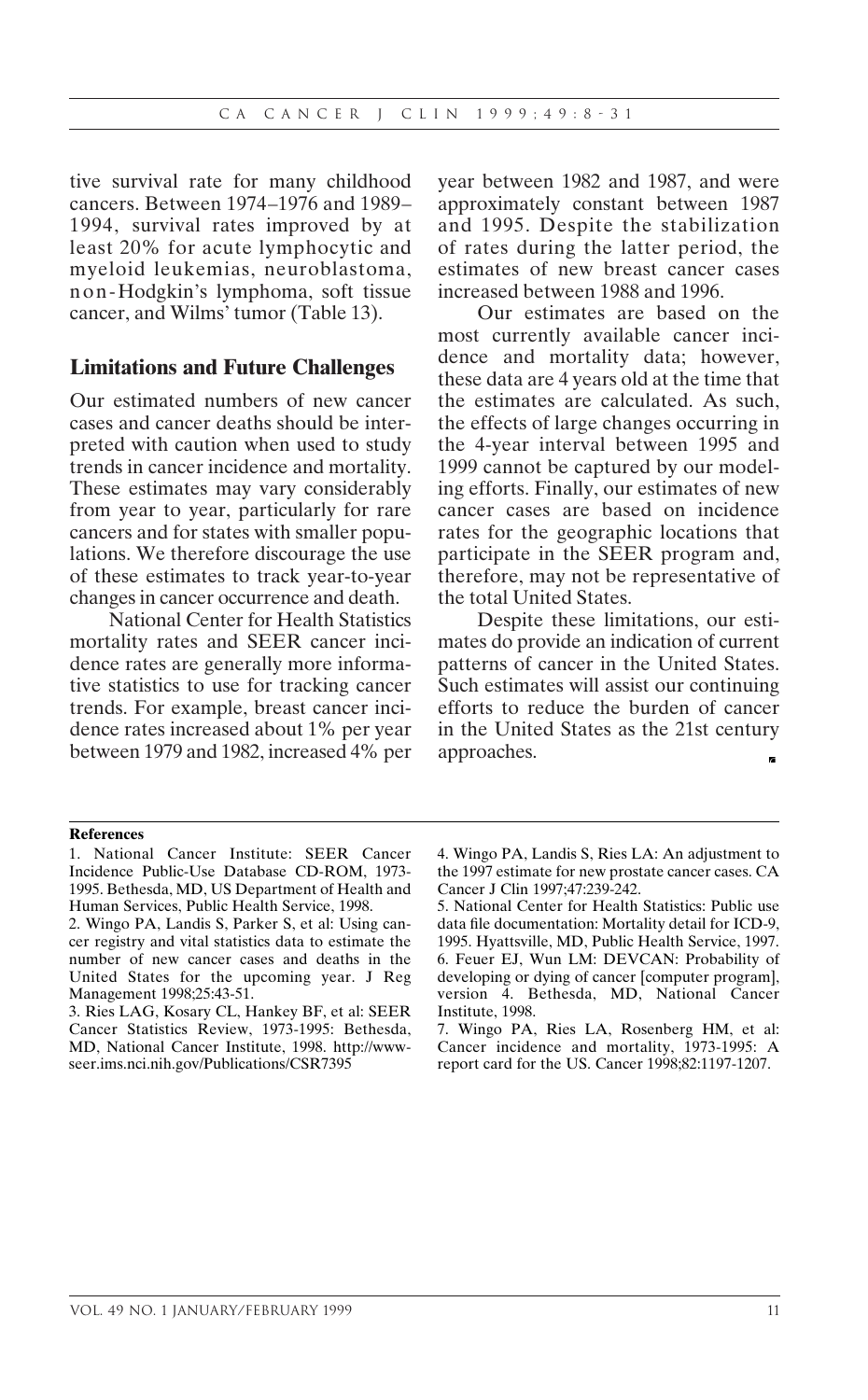tive survival rate for many childhood cancers. Between 1974–1976 and 1989– 1994, survival rates improved by at least 20% for acute lymphocytic and myeloid leukemias, neuroblastoma, non-Hodgkin's lymphoma, soft tissue cancer, and Wilms' tumor (Table 13).

### **Limitations and Future Challenges**

Our estimated numbers of new cancer cases and cancer deaths should be interpreted with caution when used to study trends in cancer incidence and mortality. These estimates may vary considerably from year to year, particularly for rare cancers and for states with smaller populations. We therefore discourage the use of these estimates to track year-to-year changes in cancer occurrence and death.

National Center for Health Statistics mortality rates and SEER cancer incidence rates are generally more informative statistics to use for tracking cancer trends. For example, breast cancer incidence rates increased about 1% per year between 1979 and 1982, increased 4% per year between 1982 and 1987, and were approximately constant between 1987 and 1995. Despite the stabilization of rates during the latter period, the estimates of new breast cancer cases increased between 1988 and 1996.

Our estimates are based on the most currently available cancer incidence and mortality data; however, these data are 4 years old at the time that the estimates are calculated. As such, the effects of large changes occurring in the 4-year interval between 1995 and 1999 cannot be captured by our modeling efforts. Finally, our estimates of new cancer cases are based on incidence rates for the geographic locations that participate in the SEER program and, therefore, may not be representative of the total United States.

Despite these limitations, our estimates do provide an indication of current patterns of cancer in the United States. Such estimates will assist our continuing efforts to reduce the burden of cancer in the United States as the 21st century approaches.

#### **References**

<sup>1.</sup> National Cancer Institute: SEER Cancer Incidence Public-Use Database CD-ROM, 1973- 1995. Bethesda, MD, US Department of Health and Human Services, Public Health Service, 1998.

<sup>2.</sup> Wingo PA, Landis S, Parker S, et al: Using cancer registry and vital statistics data to estimate the number of new cancer cases and deaths in the United States for the upcoming year. J Reg Management 1998;25:43-51.

<sup>3.</sup> Ries LAG, Kosary CL, Hankey BF, et al: SEER Cancer Statistics Review, 1973-1995: Bethesda, MD, National Cancer Institute, 1998. http://wwwseer.ims.nci.nih.gov/Publications/CSR7395

<sup>4.</sup> Wingo PA, Landis S, Ries LA: An adjustment to the 1997 estimate for new prostate cancer cases. CA Cancer J Clin 1997;47:239-242.

<sup>5.</sup> National Center for Health Statistics: Public use data file documentation: Mortality detail for ICD-9, 1995. Hyattsville, MD, Public Health Service, 1997. 6. Feuer EJ, Wun LM: DEVCAN: Probability of developing or dying of cancer [computer program], version 4. Bethesda, MD, National Cancer Institute, 1998.

<sup>7.</sup> Wingo PA, Ries LA, Rosenberg HM, et al: Cancer incidence and mortality, 1973-1995: A report card for the US. Cancer 1998;82:1197-1207.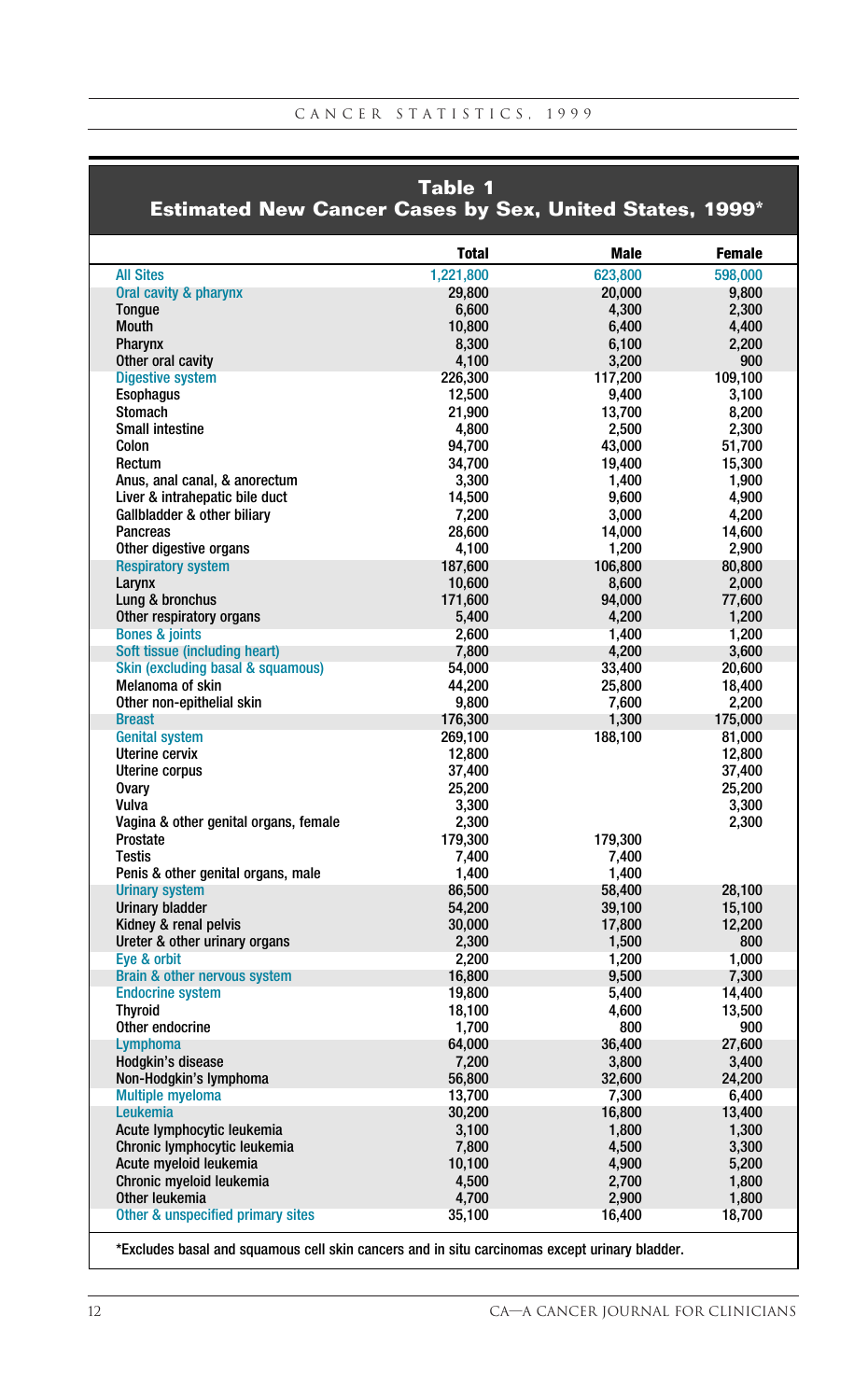|                                                         | <b>Table 1</b>  |                 |                 |
|---------------------------------------------------------|-----------------|-----------------|-----------------|
| Estimated New Cancer Cases by Sex, United States, 1999* |                 |                 |                 |
|                                                         | <b>Total</b>    | <b>Male</b>     | <b>Female</b>   |
| <b>All Sites</b>                                        | 1,221,800       | 623.800         | 598,000         |
| Oral cavity & pharynx                                   | 29,800          | 20,000          | 9,800           |
| <b>Tongue</b>                                           | 6.600           | 4.300           | 2,300           |
| Mouth                                                   | 10,800          | 6,400           | 4,400           |
| Pharynx                                                 | 8,300           | 6,100           | 2,200           |
| Other oral cavity                                       | 4.100           | 3,200           | 900             |
| <b>Digestive system</b>                                 | 226,300         | 117,200         | 109,100         |
| <b>Esophagus</b>                                        | 12.500          | 9.400           | 3.100           |
| <b>Stomach</b>                                          | 21,900          | 13,700          | 8,200           |
| Small intestine                                         | 4,800           | 2,500           | 2,300           |
| Colon                                                   | 94.700          | 43.000          | 51,700          |
| Rectum<br>Anus, anal canal, & anorectum                 | 34,700<br>3.300 | 19,400<br>1.400 | 15,300<br>1.900 |
| Liver & intrahepatic bile duct                          | 14,500          | 9,600           | 4,900           |
| Gallbladder & other biliary                             | 7,200           | 3,000           | 4,200           |
| Pancreas                                                | 28.600          | 14,000          | 14,600          |
| Other digestive organs                                  | 4,100           | 1,200           | 2,900           |
| <b>Respiratory system</b>                               | 187,600         | 106,800         | 80.800          |
| Larynx                                                  | 10,600          | 8,600           | 2,000           |
| Lung & bronchus                                         | 171,600         | 94,000          | 77,600          |
| Other respiratory organs                                | 5,400           | 4,200           | 1,200           |
| <b>Bones &amp; joints</b>                               | 2,600           | 1,400           | 1,200           |
| Soft tissue (including heart)                           | 7,800           | 4,200           | 3,600           |
| Skin (excluding basal & squamous)                       | 54,000          | 33,400          | 20,600          |
| Melanoma of skin                                        | 44,200          | 25,800          | 18,400          |
| Other non-epithelial skin                               | 9.800           | 7.600           | 2,200           |
| <b>Breast</b>                                           | 176,300         | 1,300           | 175,000         |
| <b>Genital system</b>                                   | 269.100         | 188,100         | 81.000          |
| Uterine cervix                                          | 12,800          |                 | 12,800          |
| <b>Uterine corpus</b>                                   | 37,400          |                 | 37,400          |
| <b>Ovarv</b>                                            | 25.200          |                 | 25,200          |
| Vulva                                                   | 3,300           |                 | 3,300           |
| Vagina & other genital organs, female                   | 2.300           |                 | 2,300           |
| Prostate                                                | 179,300         | 179,300         |                 |
| <b>Testis</b>                                           | 7,400           | 7,400           |                 |
| Penis & other genital organs, male                      | 1.400           | 1.400           |                 |
| <b>Urinary system</b>                                   | 86,500          | 58,400          | 28,100          |
| <b>Urinary bladder</b>                                  | 54.200          | 39,100          | 15,100          |
| Kidney & renal pelvis                                   | 30,000          | 17,800          | 12,200          |
| Ureter & other urinary organs                           | 2,300           | 1,500           | 800             |
| Eve & orbit                                             | 2,200           | 1,200           | 1,000           |
| Brain & other nervous system                            | 16,800          | 9,500           | 7,300           |
| <b>Endocrine system</b>                                 | 19.800          | 5.400           | 14.400          |
| <b>Thyroid</b>                                          | 18,100          | 4,600           | 13,500          |
| Other endocrine                                         | 1,700           | 800             | 900             |
| Lymphoma                                                | 64.000          | 36,400          | 27,600          |
| Hodgkin's disease                                       | 7,200           | 3,800           | 3,400           |
| Non-Hodgkin's lymphoma                                  | 56.800          | 32,600          | 24,200          |
| <b>Multiple myeloma</b>                                 | 13,700          | 7,300           | 6,400           |
| Leukemia                                                | 30,200          | 16,800          | 13,400          |
| Acute lymphocytic leukemia                              | 3,100           | 1,800           | 1,300           |
| Chronic lymphocytic leukemia<br>Acute mveloid leukemia  | 7,800           | 4,500           | 3,300           |
|                                                         | 10,100          | 4,900           | 5,200           |
| Chronic myeloid leukemia<br>Other leukemia              | 4,500<br>4,700  | 2,700<br>2,900  | 1,800           |
| Other & unspecified primary sites                       | 35,100          | 16,400          | 1,800<br>18,700 |
|                                                         |                 |                 |                 |

\*Excludes basal and squamous cell skin cancers and in situ carcinomas except urinary bladder.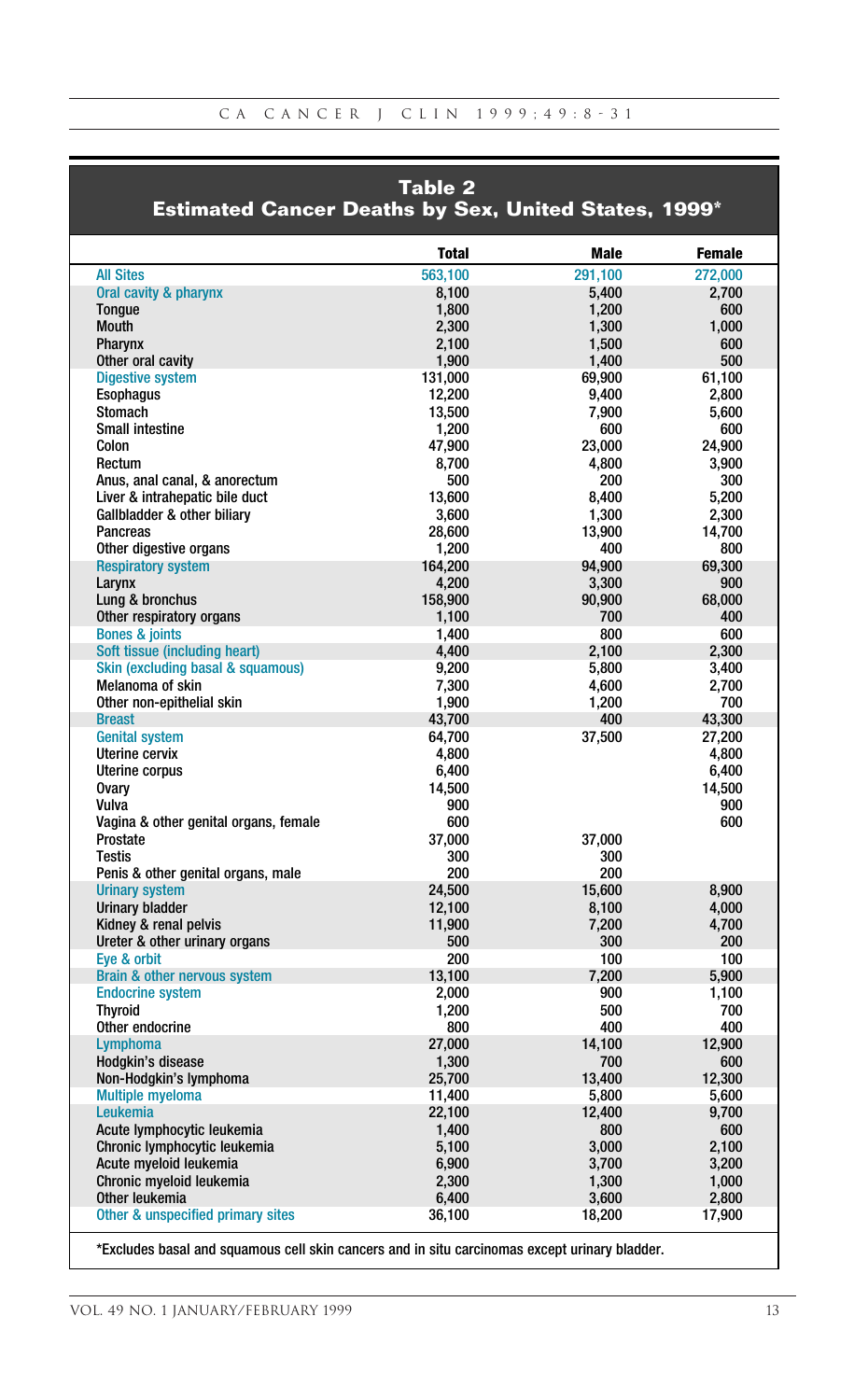|                                                             | Table 2         |              |               |
|-------------------------------------------------------------|-----------------|--------------|---------------|
| <b>Estimated Cancer Deaths by Sex, United States, 1999*</b> |                 |              |               |
|                                                             | <b>Total</b>    | Male         | <b>Female</b> |
| <b>All Sites</b>                                            | 563.100         | 291.100      | 272.000       |
| Oral cavity & pharynx                                       | 8,100           | 5.400        | 2.700         |
| Tongue                                                      | 1,800           | 1,200        | 600           |
| <b>Mouth</b>                                                | 2,300           | 1,300        | 1,000         |
| Pharynx                                                     | 2,100           | 1,500        | 600           |
| Other oral cavity                                           | 1.900           | 1.400        | 500           |
| <b>Digestive system</b>                                     | 131,000         | 69,900       | 61,100        |
| <b>Esophagus</b><br><b>Stomach</b>                          | 12,200          | 9,400        | 2,800         |
| <b>Small intestine</b>                                      | 13,500<br>1.200 | 7,900<br>600 | 5,600<br>600  |
| Colon                                                       | 47.900          | 23,000       | 24.900        |
| Rectum                                                      | 8,700           | 4,800        | 3,900         |
| Anus, anal canal, & anorectum                               | 500             | 200          | 300           |
| Liver & intrahepatic bile duct                              | 13,600          | 8,400        | 5,200         |
| Gallbladder & other biliary                                 | 3,600           | 1,300        | 2.300         |
| Pancreas                                                    | 28,600          | 13,900       | 14,700        |
| Other digestive organs                                      | 1,200           | 400          | 800           |
| <b>Respiratory system</b>                                   | 164,200         | 94,900       | 69,300        |
| Larvnx                                                      | 4,200           | 3,300        | 900           |
| Lung & bronchus                                             | 158,900         | 90,900       | 68,000        |
| Other respiratory organs                                    | 1,100           | 700          | 400           |
| <b>Bones &amp; joints</b>                                   | 1,400           | 800          | 600           |
| Soft tissue (including heart)                               | 4.400           | 2.100        | 2.300         |
| Skin (excluding basal & squamous)                           | 9,200           | 5,800        | 3,400         |
| Melanoma of skin                                            | 7,300           | 4,600        | 2,700         |
| Other non-epithelial skin                                   | 1.900           | 1.200        | 700           |
| <b>Breast</b>                                               | 43,700          | 400          | 43,300        |
| <b>Genital system</b>                                       | 64.700          | 37,500       | 27,200        |
| Uterine cervix                                              | 4.800           |              | 4.800         |
| Uterine corpus                                              | 6,400           |              | 6,400         |
| <b>Ovary</b><br>Vulva                                       | 14,500<br>900   |              | 14,500<br>900 |
| Vagina & other genital organs, female                       | 600             |              | 600           |
| Prostate                                                    | 37.000          | 37.000       |               |
| <b>Testis</b>                                               | 300             | 300          |               |
| Penis & other genital organs, male                          | 200             | 200          |               |
| <b>Urinary system</b>                                       | 24.500          | 15.600       | 8.900         |
| <b>Urinary bladder</b>                                      | 12,100          | 8,100        | 4.000         |
| Kidney & renal pelvis                                       | 11,900          | 7,200        | 4,700         |
| Ureter & other urinary organs                               | 500             | 300          | 200           |
| Eve & orbit                                                 | 200             | 100          | 100           |
| <b>Brain &amp; other nervous system</b>                     | 13.100          | 7.200        | 5.900         |
| <b>Endocrine system</b>                                     | 2,000           | 900          | 1,100         |
| <b>Thyroid</b>                                              | 1,200           | 500          | 700           |
| Other endocrine                                             | 800             | 400          | 400           |
| Lymphoma                                                    | 27,000          | 14.100       | 12.900        |
| Hodgkin's disease                                           | 1,300           | 700          | 600           |
| Non-Hodgkin's lymphoma                                      | 25,700          | 13,400       | 12,300        |
| <b>Multiple myeloma</b><br>Leukemia                         | 11,400          | 5,800        | 5,600         |
|                                                             | 22.100          | 12.400       | 9.700         |
| Acute lymphocytic leukemia<br>Chronic lymphocytic leukemia  | 1.400<br>5,100  | 800<br>3,000 | 600<br>2,100  |
| Acute myeloid leukemia                                      | 6,900           | 3,700        | 3,200         |
| Chronic myeloid leukemia                                    | 2,300           | 1,300        | 1,000         |
| Other leukemia                                              | 6.400           | 3.600        | 2.800         |
| Other & unspecified primary sites                           | 36,100          | 18,200       | 17,900        |
|                                                             |                 |              |               |

\*Excludes basal and squamous cell skin cancers and in situ carcinomas except urinary bladder.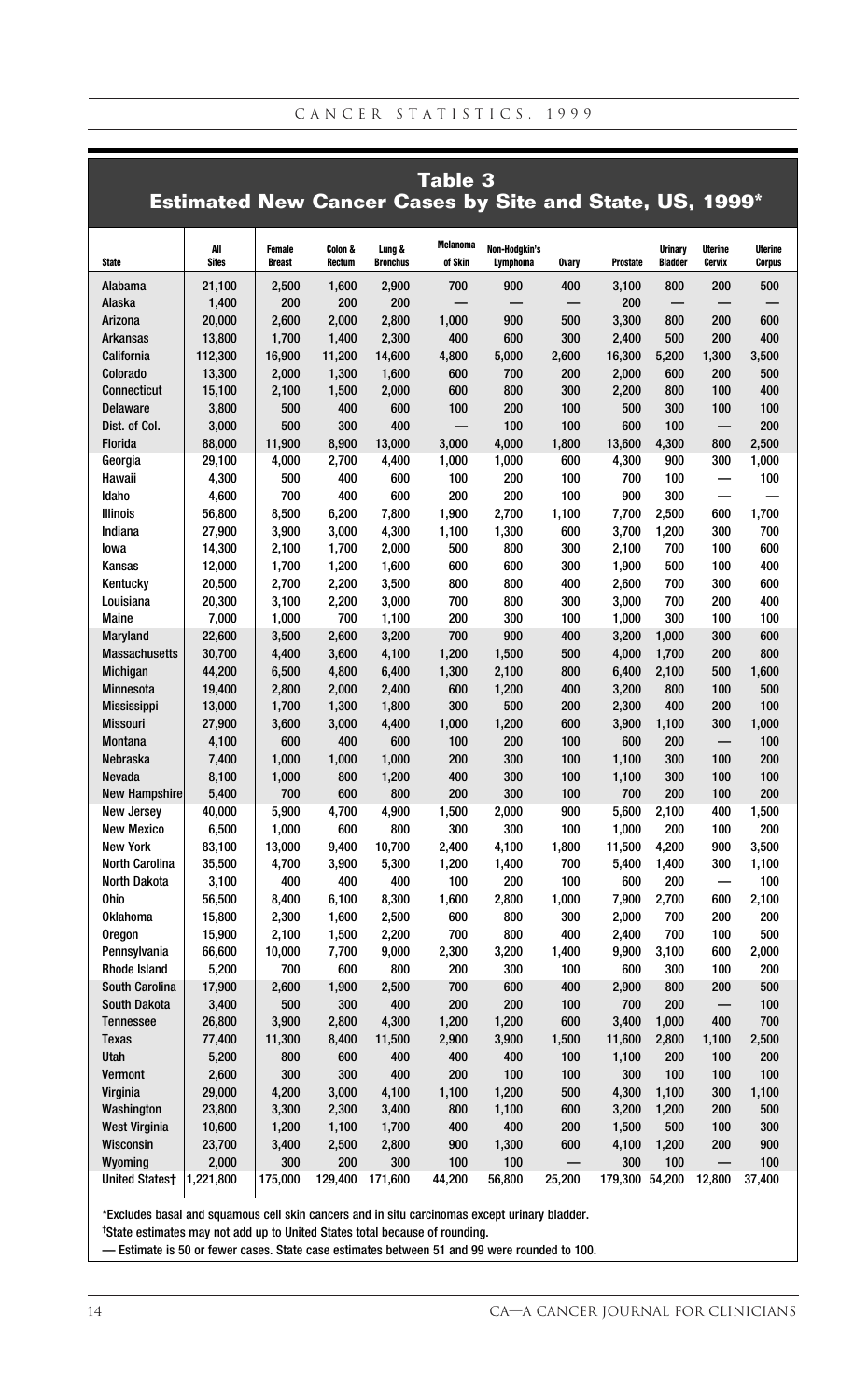|                                         |                                                                |                         |                   |                           | Table 3                    |                           |              |                |                                  |                                 |                                 |
|-----------------------------------------|----------------------------------------------------------------|-------------------------|-------------------|---------------------------|----------------------------|---------------------------|--------------|----------------|----------------------------------|---------------------------------|---------------------------------|
|                                         | <b>Estimated New Cancer Cases by Site and State, US, 1999*</b> |                         |                   |                           |                            |                           |              |                |                                  |                                 |                                 |
|                                         |                                                                |                         |                   |                           |                            |                           |              |                |                                  |                                 |                                 |
| <b>State</b>                            | All<br><b>Sites</b>                                            | Female<br><b>Breast</b> | Colon &<br>Rectum | Lung &<br><b>Bronchus</b> | <b>Melanoma</b><br>of Skin | Non-Hodgkin's<br>Lymphoma | <b>Ovary</b> | Prostate       | <b>Urinary</b><br><b>Bladder</b> | <b>Uterine</b><br><b>Cervix</b> | <b>Uterine</b><br><b>Corpus</b> |
| Alabama                                 | 21,100                                                         | 2,500                   | 1,600             | 2,900                     | 700                        | 900                       | 400          | 3,100          | 800                              | 200                             | 500                             |
| Alaska                                  | 1,400                                                          | 200                     | 200               | 200                       |                            |                           |              | 200            |                                  |                                 |                                 |
| Arizona                                 | 20,000                                                         | 2,600                   | 2,000             | 2,800                     | 1,000                      | 900                       | 500          | 3,300          | 800                              | 200                             | 600                             |
| <b>Arkansas</b>                         | 13,800                                                         | 1,700                   | 1,400             | 2,300                     | 400                        | 600                       | 300          | 2,400          | 500                              | 200                             | 400                             |
| California                              | 112,300                                                        | 16,900                  | 11,200            | 14,600                    | 4,800                      | 5,000                     | 2,600        | 16,300         | 5,200                            | 1,300                           | 3,500                           |
| Colorado                                | 13,300                                                         | 2,000                   | 1,300             | 1,600                     | 600                        | 700                       | 200          | 2,000          | 600                              | 200                             | 500                             |
| <b>Connecticut</b>                      | 15,100                                                         | 2,100                   | 1.500             | 2.000                     | 600                        | 800                       | 300          | 2.200          | 800                              | 100                             | 400                             |
| <b>Delaware</b><br>Dist. of Col.        | 3,800<br>3,000                                                 | 500<br>500              | 400<br>300        | 600<br>400                | 100                        | 200<br>100                | 100<br>100   | 500<br>600     | 300<br>100                       | 100                             | 100<br>200                      |
| Florida                                 | 88,000                                                         | 11,900                  | 8,900             | 13,000                    | 3,000                      | 4,000                     | 1,800        | 13,600         | 4,300                            | 800                             | 2,500                           |
| Georgia                                 | 29,100                                                         | 4,000                   | 2,700             | 4,400                     | 1,000                      | 1,000                     | 600          | 4,300          | 900                              | 300                             | 1,000                           |
| Hawaii                                  | 4,300                                                          | 500                     | 400               | 600                       | 100                        | 200                       | 100          | 700            | 100                              |                                 | 100                             |
| Idaho                                   | 4,600                                                          | 700                     | 400               | 600                       | 200                        | 200                       | 100          | 900            | 300                              |                                 |                                 |
| <b>Illinois</b>                         | 56,800                                                         | 8,500                   | 6,200             | 7,800                     | 1,900                      | 2,700                     | 1,100        | 7,700          | 2,500                            | 600                             | 1,700                           |
| Indiana                                 | 27,900                                                         | 3,900                   | 3,000             | 4,300                     | 1,100                      | 1,300                     | 600          | 3,700          | 1,200                            | 300                             | 700                             |
| lowa                                    | 14,300                                                         | 2,100                   | 1,700             | 2,000                     | 500                        | 800                       | 300          | 2,100          | 700                              | 100                             | 600                             |
| Kansas                                  | 12,000                                                         | 1,700                   | 1,200             | 1,600                     | 600                        | 600                       | 300          | 1,900          | 500                              | 100                             | 400                             |
| Kentucky                                | 20,500                                                         | 2,700                   | 2,200             | 3,500                     | 800                        | 800                       | 400          | 2,600          | 700                              | 300                             | 600                             |
| Louisiana                               | 20,300                                                         | 3,100                   | 2,200             | 3,000                     | 700                        | 800                       | 300          | 3,000          | 700                              | 200                             | 400                             |
| Maine                                   | 7,000                                                          | 1,000                   | 700               | 1,100                     | 200                        | 300                       | 100          | 1,000          | 300                              | 100                             | 100                             |
| Maryland                                | 22,600                                                         | 3,500                   | 2,600             | 3,200                     | 700                        | 900                       | 400          | 3,200          | 1,000                            | 300                             | 600                             |
| <b>Massachusetts</b>                    | 30,700                                                         | 4,400                   | 3,600             | 4,100                     | 1,200                      | 1,500                     | 500          | 4,000          | 1,700                            | 200                             | 800                             |
| Michigan                                | 44,200                                                         | 6,500                   | 4,800             | 6,400                     | 1,300                      | 2,100                     | 800          | 6,400          | 2,100                            | 500                             | 1,600                           |
| Minnesota                               | 19,400                                                         | 2,800                   | 2,000             | 2,400                     | 600                        | 1,200                     | 400          | 3,200          | 800                              | 100                             | 500                             |
| <b>Mississippi</b>                      | 13,000                                                         | 1,700                   | 1,300<br>3,000    | 1,800                     | 300<br>1,000               | 500                       | 200<br>600   | 2,300          | 400<br>1,100                     | 200<br>300                      | 100<br>1,000                    |
| <b>Missouri</b><br>Montana              | 27,900<br>4,100                                                | 3,600<br>600            | 400               | 4,400<br>600              | 100                        | 1,200<br>200              | 100          | 3,900<br>600   | 200                              |                                 | 100                             |
| Nebraska                                | 7,400                                                          | 1,000                   | 1,000             | 1,000                     | 200                        | 300                       | 100          | 1,100          | 300                              | 100                             | 200                             |
| Nevada                                  | 8,100                                                          | 1,000                   | 800               | 1,200                     | 400                        | 300                       | 100          | 1,100          | 300                              | 100                             | 100                             |
| <b>New Hampshire</b>                    | 5,400                                                          | 700                     | 600               | 800                       | 200                        | 300                       | 100          | 700            | 200                              | 100                             | 200                             |
| <b>New Jersev</b>                       | 40,000                                                         | 5.900                   | 4.700             | 4,900                     | 1.500                      | 2.000                     | 900          | 5.600          | 2.100                            | 400                             | 1.500                           |
| <b>New Mexico</b>                       | 6,500                                                          | 1.000                   | 600               | 800                       | 300                        | 300                       | 100          | 1.000          | 200                              | 100                             | 200                             |
| <b>New York</b>                         | 83,100                                                         | 13,000                  | 9,400             | 10,700                    | 2,400                      | 4,100                     | 1,800        | 11,500         | 4,200                            | 900                             | 3,500                           |
| <b>North Carolina</b>                   | 35,500                                                         | 4,700                   | 3,900             | 5,300                     | 1,200                      | 1,400                     | 700          | 5,400          | 1,400                            | 300                             | 1,100                           |
| <b>North Dakota</b>                     | 3,100                                                          | 400                     | 400               | 400                       | 100                        | 200                       | 100          | 600            | 200                              |                                 | 100                             |
| <b>Ohio</b>                             | 56,500                                                         | 8,400                   | 6,100             | 8,300                     | 1,600                      | 2,800                     | 1.000        | 7,900          | 2,700                            | 600                             | 2,100                           |
| <b>Oklahoma</b>                         | 15,800                                                         | 2,300                   | 1,600             | 2,500                     | 600                        | 800                       | 300          | 2,000          | 700                              | 200                             | 200                             |
| Oregon                                  | 15.900                                                         | 2.100                   | 1.500             | 2.200                     | 700                        | 800                       | 400          | 2.400          | 700                              | 100                             | 500                             |
| Pennsylvania                            | 66,600                                                         | 10,000                  | 7,700             | 9,000                     | 2,300                      | 3,200                     | 1,400        | 9,900          | 3,100                            | 600                             | 2,000                           |
| <b>Rhode Island</b>                     | 5,200                                                          | 700                     | 600               | 800                       | 200                        | 300                       | 100          | 600            | 300                              | 100                             | 200                             |
| <b>South Carolina</b>                   | 17,900                                                         | 2,600                   | 1,900             | 2,500                     | 700                        | 600                       | 400          | 2,900          | 800                              | 200                             | 500                             |
| <b>South Dakota</b><br><b>Tennessee</b> | 3,400<br>26,800                                                | 500<br>3,900            | 300<br>2,800      | 400<br>4,300              | 200<br>1,200               | 200<br>1,200              | 100<br>600   | 700<br>3,400   | 200<br>1,000                     | 400                             | 100<br>700                      |
| <b>Texas</b>                            | 77,400                                                         | 11,300                  | 8,400             | 11,500                    | 2,900                      | 3,900                     | 1,500        | 11,600         | 2,800                            | 1,100                           | 2,500                           |
| Utah                                    | 5,200                                                          | 800                     | 600               | 400                       | 400                        | 400                       | 100          | 1,100          | 200                              | 100                             | 200                             |
| Vermont                                 | 2,600                                                          | 300                     | 300               | 400                       | 200                        | 100                       | 100          | 300            | 100                              | 100                             | 100                             |
| Virginia                                | 29,000                                                         | 4,200                   | 3,000             | 4,100                     | 1,100                      | 1,200                     | 500          | 4,300          | 1,100                            | 300                             | 1,100                           |
| Washington                              | 23,800                                                         | 3,300                   | 2,300             | 3,400                     | 800                        | 1,100                     | 600          | 3,200          | 1,200                            | 200                             | 500                             |
| <b>West Virginia</b>                    | 10,600                                                         | 1,200                   | 1,100             | 1,700                     | 400                        | 400                       | 200          | 1,500          | 500                              | 100                             | 300                             |
| Wisconsin                               | 23,700                                                         | 3,400                   | 2,500             | 2,800                     | 900                        | 1,300                     | 600          | 4,100          | 1,200                            | 200                             | 900                             |
| Wyoming                                 | 2,000                                                          | 300                     | 200               | 300                       | 100                        | 100                       |              | 300            | 100                              |                                 | 100                             |
| <b>United States†</b>                   | 1,221,800                                                      | 175,000                 | 129,400           | 171,600                   | 44,200                     | 56,800                    | 25,200       | 179,300 54,200 |                                  | 12,800                          | 37,400                          |

\*Excludes basal and squamous cell skin cancers and in situ carcinomas except urinary bladder.

† State estimates may not add up to United States total because of rounding.

— Estimate is 50 or fewer cases. State case estimates between 51 and 99 were rounded to 100.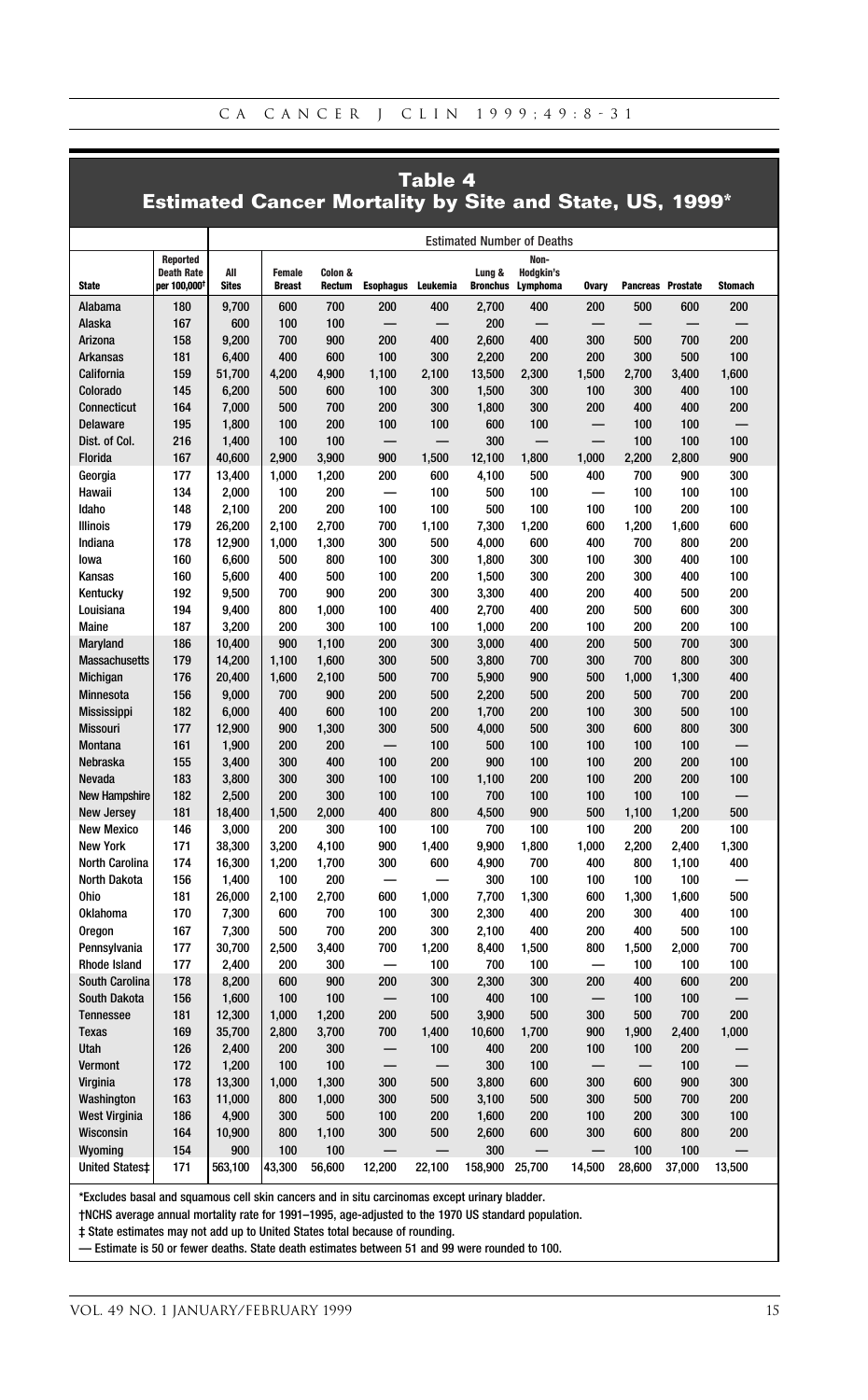#### **Table 4 Estimated Cancer Mortality by Site and State, US, 1999\***

|                                |                                  | <b>Estimated Number of Deaths</b> |                                |                   |                          |              |                           |                       |              |                   |                |                |
|--------------------------------|----------------------------------|-----------------------------------|--------------------------------|-------------------|--------------------------|--------------|---------------------------|-----------------------|--------------|-------------------|----------------|----------------|
|                                | Reported                         |                                   |                                |                   |                          |              |                           | Non-                  |              |                   |                |                |
| <b>State</b>                   | <b>Death Rate</b><br>per 100,000 | All<br><b>Sites</b>               | <b>Female</b><br><b>Breast</b> | Colon &<br>Rectum | <b>Esophagus</b>         | Leukemia     | Lung &<br><b>Bronchus</b> | Hodgkin's<br>Lymphoma | <b>Ovary</b> | Pancreas Prostate |                | <b>Stomach</b> |
| Alabama                        | 180                              | 9,700                             | 600                            | 700               | 200                      | 400          | 2,700                     | 400                   | 200          | 500               | 600            | 200            |
| Alaska                         | 167                              | 600                               | 100                            | 100               |                          |              | 200                       |                       |              |                   |                |                |
| Arizona                        | 158                              | 9,200                             | 700                            | 900               | 200                      | 400          | 2.600                     | 400                   | 300          | 500               | 700            | 200            |
| <b>Arkansas</b>                | 181                              | 6,400                             | 400                            | 600               | 100                      | 300          | 2,200                     | 200                   | 200          | 300               | 500            | 100            |
| California                     | 159                              | 51,700                            | 4.200                          | 4.900             | 1.100                    | 2.100        | 13,500                    | 2.300                 | 1.500        | 2.700             | 3.400          | 1.600          |
| Colorado                       | 145                              | 6,200                             | 500                            | 600               | 100                      | 300          | 1,500                     | 300                   | 100          | 300               | 400            | 100            |
| Connecticut                    | 164                              | 7,000                             | 500                            | 700               | 200                      | 300          | 1,800                     | 300                   | 200          | 400               | 400            | 200            |
| Delaware                       | 195                              | 1,800                             | 100                            | 200               | 100                      | 100          | 600                       | 100                   |              | 100               | 100            |                |
| Dist. of Col.                  | 216                              | 1,400                             | 100                            | 100               | ⋍                        |              | 300                       |                       |              | 100               | 100            | 100            |
| Florida                        | 167                              | 40,600                            | 2.900                          | 3.900             | 900                      | 1.500        | 12.100                    | 1.800                 | 1.000        | 2.200             | 2.800          | 900            |
| Georgia                        | 177                              | 13,400                            | 1,000                          | 1,200             | 200                      | 600          | 4,100                     | 500                   | 400          | 700               | 900            | 300            |
| Hawaii                         | 134                              | 2,000                             | 100                            | 200               | $\overline{\phantom{0}}$ | 100          | 500                       | 100                   |              | 100               | 100            | 100            |
| Idaho                          | 148                              | 2,100                             | 200                            | 200               | 100                      | 100          | 500                       | 100                   | 100          | 100               | 200            | 100            |
| <b>Illinois</b>                | 179                              | 26,200                            | 2,100                          | 2,700             | 700                      | 1,100        | 7,300                     | 1,200                 | 600          | 1,200             | 1,600          | 600            |
| Indiana                        | 178                              | 12,900                            | 1,000                          | 1,300             | 300                      | 500          | 4,000                     | 600                   | 400          | 700               | 800            | 200            |
| lowa                           | 160                              | 6.600                             | 500                            | 800               | 100                      | 300          | 1.800                     | 300                   | 100          | 300               | 400            | 100            |
| Kansas                         | 160                              | 5,600                             | 400                            | 500               | 100                      | 200          | 1,500                     | 300                   | 200          | 300               | 400            | 100            |
| Kentucky                       | 192                              | 9,500                             | 700                            | 900               | 200                      | 300          | 3,300                     | 400                   | 200          | 400               | 500            | 200            |
| Louisiana                      | 194                              | 9,400                             | 800                            | 1,000             | 100                      | 400          | 2,700                     | 400                   | 200          | 500               | 600            | 300            |
| <b>Maine</b>                   | 187                              | 3,200                             | 200                            | 300               | 100                      | 100          | 1.000                     | 200                   | 100          | 200               | 200            | 100            |
| Maryland                       | 186                              | 10,400                            | 900                            | 1,100             | 200                      | 300          | 3,000                     | 400                   | 200          | 500               | 700            | 300            |
| <b>Massachusetts</b>           | 179                              | 14,200                            | 1,100                          | 1,600             | 300                      | 500          | 3,800                     | 700                   | 300          | 700               | 800            | 300            |
| Michigan                       | 176                              | 20,400                            | 1,600                          | 2,100             | 500                      | 700          | 5,900                     | 900                   | 500          | 1,000             | 1,300          | 400            |
| Minnesota                      | 156                              | 9.000                             | 700                            | 900               | 200                      | 500          | 2,200                     | 500                   | 200          | 500               | 700            | 200            |
| <b>Mississippi</b>             | 182                              | 6,000                             | 400                            | 600               | 100                      | 200          | 1,700                     | 200                   | 100          | 300               | 500            | 100            |
| Missouri                       | 177                              | 12,900                            | 900                            | 1,300             | 300                      | 500          | 4,000                     | 500                   | 300          | 600               | 800            | 300            |
| Montana                        | 161                              | 1,900                             | 200                            | 200               |                          | 100          | 500                       | 100                   | 100          | 100               | 100            |                |
| <b>Nebraska</b>                | 155                              | 3,400                             | 300                            | 400               | 100                      | 200          | 900                       | 100                   | 100          | 200               | 200            | 100            |
|                                | 183                              | 3,800                             | 300                            | 300               | 100                      | 100          | 1,100                     | 200                   | 100          | 200               | 200            | 100            |
| Nevada<br><b>New Hampshire</b> | 182                              | 2,500                             | 200                            | 300               | 100                      | 100          | 700                       | 100                   | 100          | 100               | 100            |                |
| <b>New Jersey</b>              | 181                              | 18,400                            | 1,500                          | 2.000             | 400                      | 800          | 4,500                     | 900                   | 500          | 1,100             | 1,200          | 500            |
| <b>New Mexico</b>              | 146                              | 3,000                             | 200                            | 300               | 100                      | 100          | 700                       | 100                   | 100          | 200               | 200            | 100            |
| <b>New York</b>                |                                  |                                   |                                |                   | 900                      |              |                           | 1,800                 | 1,000        | 2,200             |                |                |
| <b>North Carolina</b>          | 171<br>174                       | 38,300<br>16,300                  | 3,200<br>1,200                 | 4,100<br>1,700    | 300                      | 1,400<br>600 | 9,900<br>4,900            | 700                   | 400          | 800               | 2,400<br>1,100 | 1,300<br>400   |
| <b>North Dakota</b>            | 156                              | 1,400                             | 100                            | 200               |                          |              | 300                       | 100                   | 100          | 100               | 100            |                |
| <b>Ohio</b>                    | 181                              | 26,000                            | 2,100                          | 2,700             | 600                      | 1,000        | 7,700                     | 1,300                 | 600          | 1,300             | 1,600          | 500            |
| Oklahoma                       | 170                              |                                   | 600                            | 700               | 100                      | 300          | 2.300                     | 400                   | 200          | 300               | 400            | 100            |
|                                | 167                              | 7,300<br>7,300                    | 500                            | 700               | 200                      | 300          | 2,100                     | 400                   | 200          | 400               | 500            | 100            |
| Oregon<br>Pennsylvania         | 177                              | 30,700                            | 2,500                          | 3,400             | 700                      | 1,200        | 8,400                     | 1,500                 | 800          | 1,500             | 2,000          | 700            |
| <b>Rhode Island</b>            | 177                              | 2,400                             | 200                            | 300               |                          | 100          | 700                       | 100                   |              | 100               | 100            | 100            |
| South Carolina                 | 178                              | 8,200                             | 600                            | 900               | 200                      | 300          | 2,300                     | 300                   | 200          | 400               | 600            | 200            |
| <b>South Dakota</b>            | 156                              | 1,600                             | 100                            | 100               |                          | 100          | 400                       | 100                   |              | 100               | 100            |                |
|                                | 181                              |                                   | 1.000                          | 1.200             | 200                      | 500          |                           | 500                   | 300          | 500               | 700            | 200            |
| <b>Tennessee</b>               |                                  | 12,300                            |                                |                   |                          |              | 3,900                     |                       |              |                   |                |                |
| <b>Texas</b><br>Utah           | 169<br>126                       | 35,700                            | 2,800                          | 3,700<br>300      | 700                      | 1,400        | 10,600<br>400             | 1,700<br>200          | 900<br>100   | 1,900<br>100      | 2,400<br>200   | 1,000          |
|                                |                                  | 2,400                             | 200                            |                   |                          | 100          |                           |                       |              |                   |                |                |
| Vermont                        | 172                              | 1,200                             | 100                            | 100               |                          |              | 300                       | 100                   |              |                   | 100            |                |
| Virginia                       | 178                              | 13,300                            | 1,000                          | 1,300             | 300                      | 500          | 3,800                     | 600                   | 300          | 600               | 900            | 300            |
| Washington                     | 163                              | 11,000                            | 800                            | 1.000             | 300                      | 500          | 3.100                     | 500                   | 300          | 500               | 700            | 200            |
| <b>West Virginia</b>           | 186                              | 4,900                             | 300                            | 500               | 100                      | 200          | 1,600                     | 200                   | 100          | 200               | 300            | 100            |
| Wisconsin                      | 164                              | 10,900                            | 800                            | 1,100             | 300                      | 500          | 2,600                     | 600                   | 300          | 600               | 800            | 200            |
| Wyoming                        | 154                              | 900                               | 100                            | 100               |                          |              | 300                       |                       |              | 100               | 100            |                |
| <b>United States‡</b>          | 171                              | 563,100                           | 43,300                         | 56,600            | 12.200                   | 22.100       | 158,900                   | 25,700                | 14,500       | 28,600            | 37,000         | 13,500         |

\*Excludes basal and squamous cell skin cancers and in situ carcinomas except urinary bladder.

†NCHS average annual mortality rate for 1991–1995, age-adjusted to the 1970 US standard population.

‡ State estimates may not add up to United States total because of rounding.

— Estimate is 50 or fewer deaths. State death estimates between 51 and 99 were rounded to 100.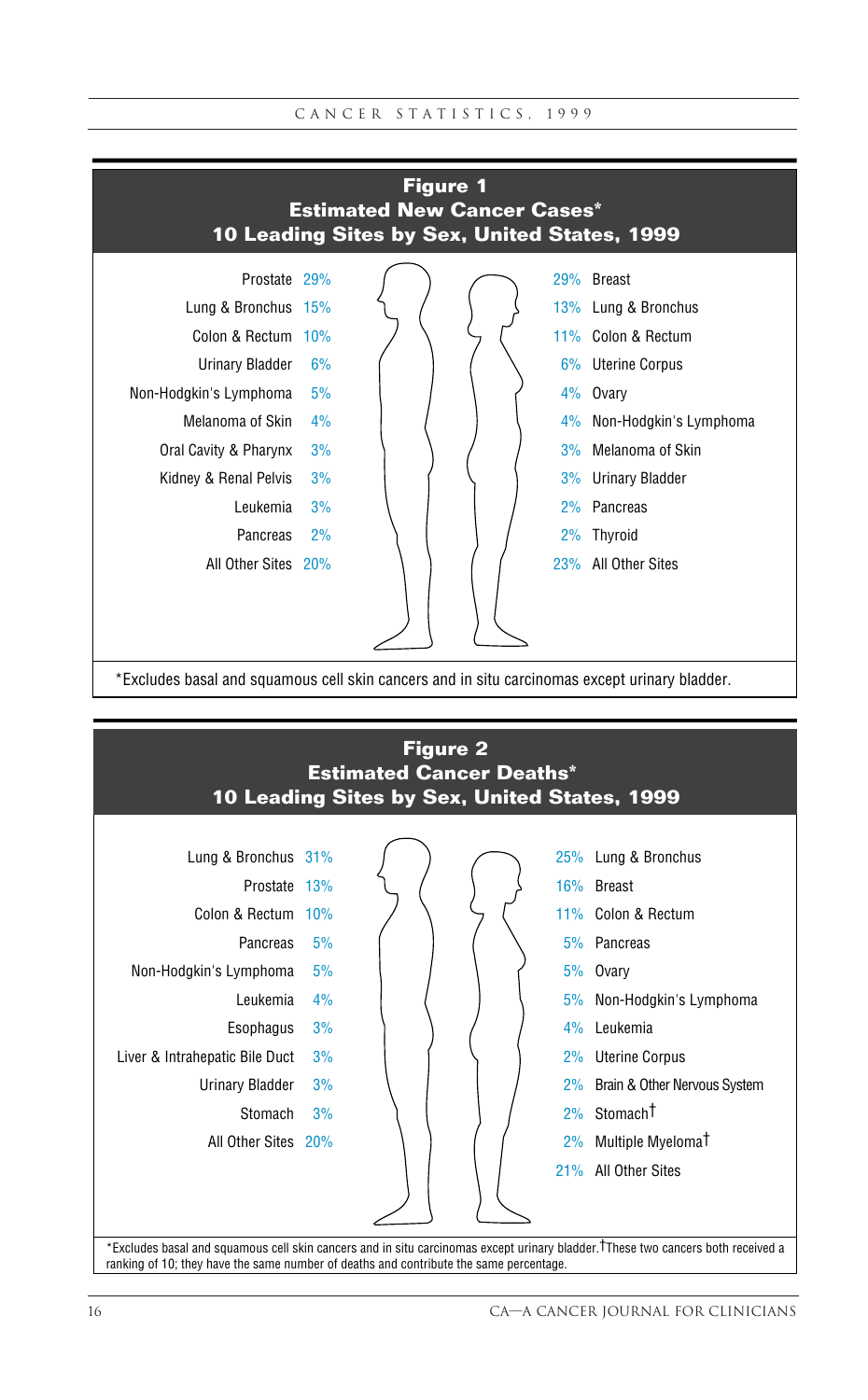



ranking of 10; they have the same number of deaths and contribute the same percentage.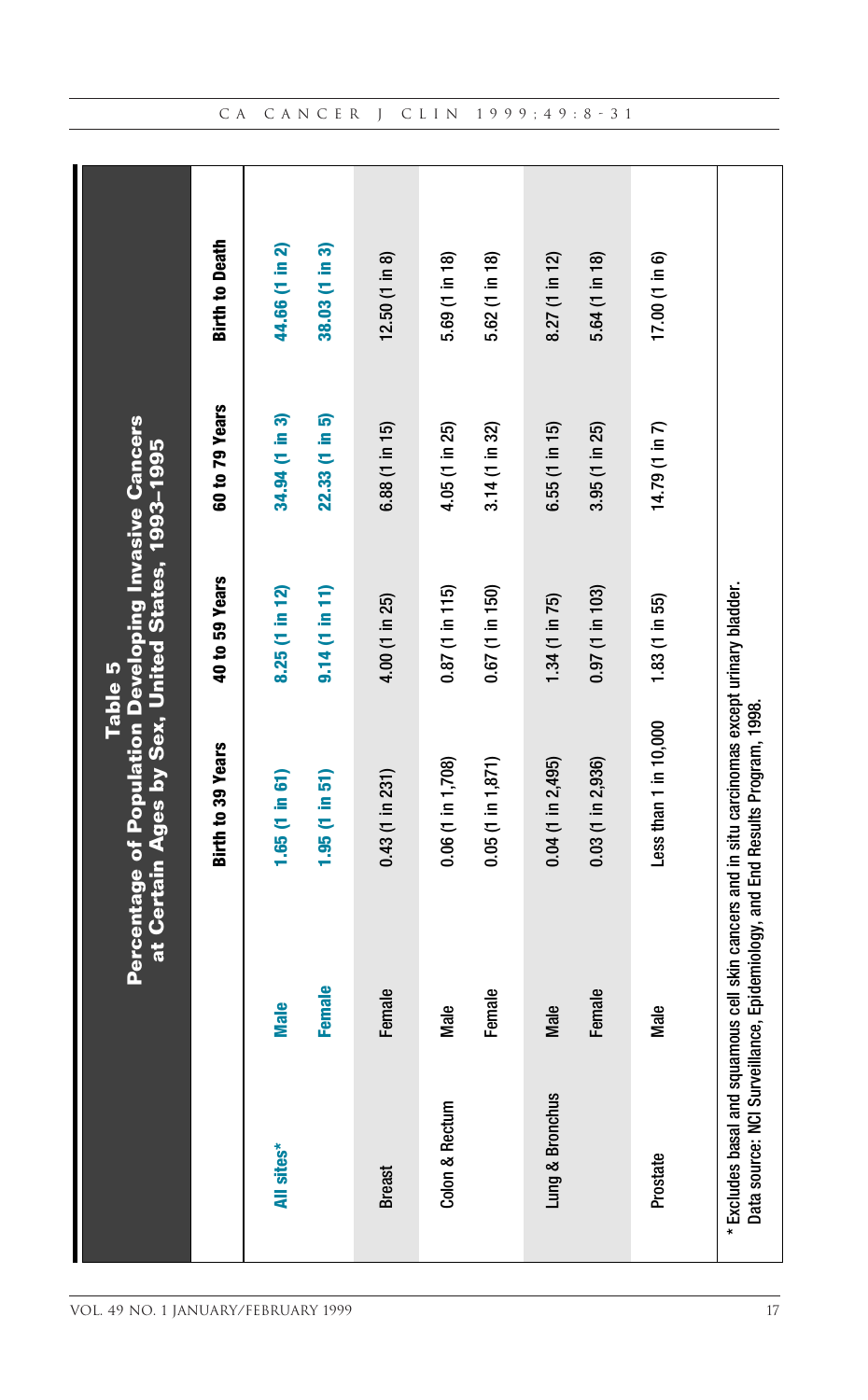|                 |               | <b>Percentage of Population Developing Invasive Cancers</b><br>at Certain Ages by Sex, United States, 1993-1995<br>Table 5                                     |                   |                |                          |
|-----------------|---------------|----------------------------------------------------------------------------------------------------------------------------------------------------------------|-------------------|----------------|--------------------------|
|                 |               | Birth to 39 Years                                                                                                                                              | 40 to 59 Years    | 60 to 79 Years | <b>Birth to Death</b>    |
| All sites*      | <b>Male</b>   | 1.65 (1 in 61)                                                                                                                                                 | 8.25 (1 in 12)    | 34.94 (1 in 3) | 44.66 (1 in 2)           |
|                 | <b>Female</b> | 1.95 (1 in 51)                                                                                                                                                 | 9.14(1 in 11)     | 22.33 (1 in 5) | 38.03 (1 in 3)           |
| <b>Breast</b>   | Female        | $0.43$ (1 in 231)                                                                                                                                              | 4.00 (1 in 25)    | 6.88 (1 in 15) | $12.50(1 \text{ in } 8)$ |
| Colon & Rectum  | Male          | $0.06$ (1 in 1,708)                                                                                                                                            | $0.87$ (1 in 115) | 4.05 (1 in 25) | 5.69 (1 in 18)           |
|                 | Female        | $0.05$ (1 in 1,871)                                                                                                                                            | 0.67 (1 in 150)   | 3.14 (1 in 32) | 5.62 (1 in 18)           |
| Lung & Bronchus | Male          | $0.04$ (1 in 2,495)                                                                                                                                            | 1.34 (1 in 75)    | 6.55 (1 in 15) | 8.27 (1 in 12)           |
|                 | Female        | $0.03$ (1 in 2,936)                                                                                                                                            | $0.97$ (1 in 103) | 3.95 (1 in 25) | 5.64 (1 in 18)           |
| Prostate        | Male          | Less than 1 in 10,000                                                                                                                                          | 1.83 (1 in 55)    | 14.79 (1 in 7) | 17.00 (1 in 6)           |
| Data source     |               | Excludes basal and squamous cell skin cancers and in situ carcinomas except urinary bladder.<br>NCI Surveillance, Epidemiology, and End Results Program, 1998. |                   |                |                          |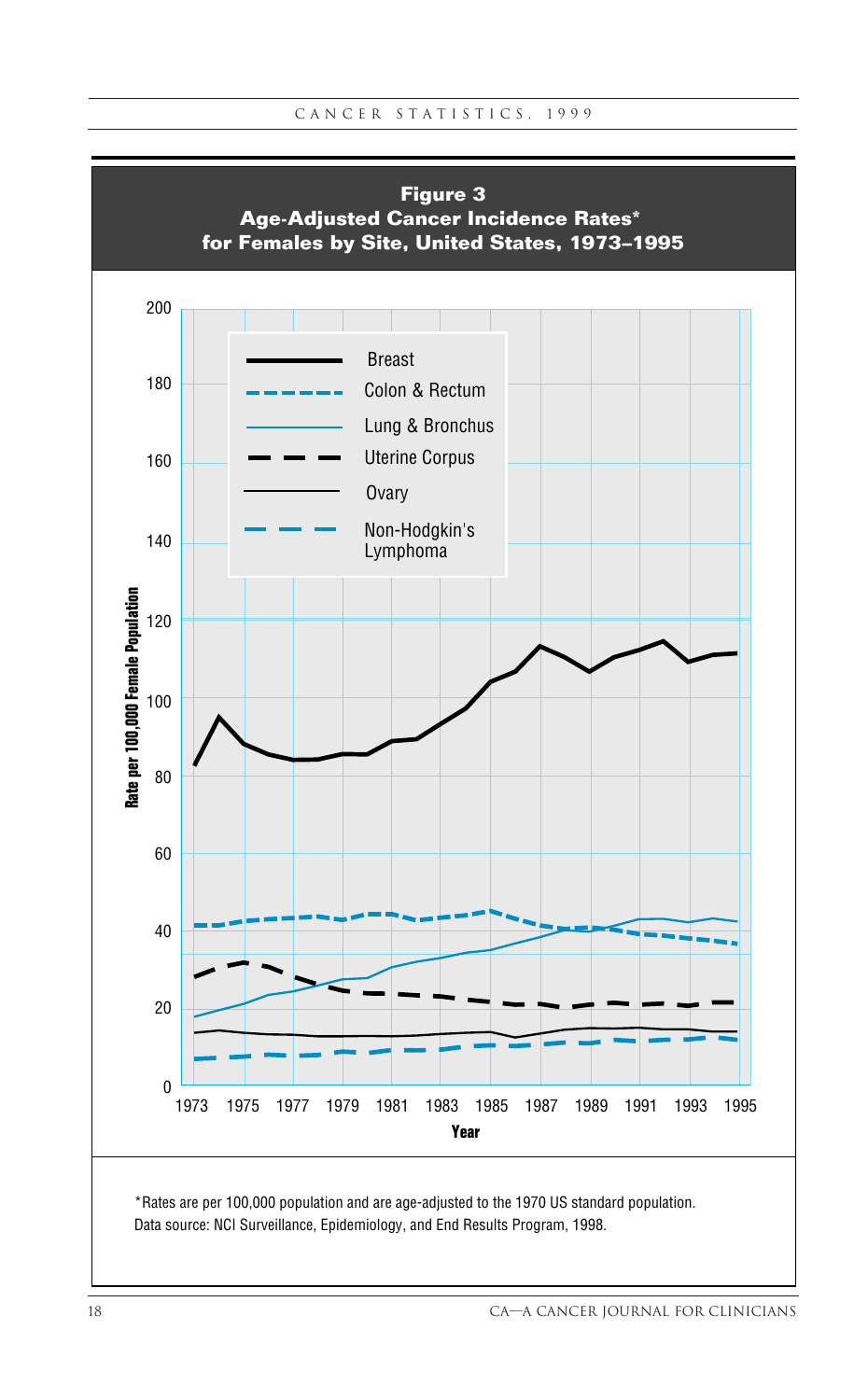

Data source: NCI Surveillance, Epidemiology, and End Results Program, 1998.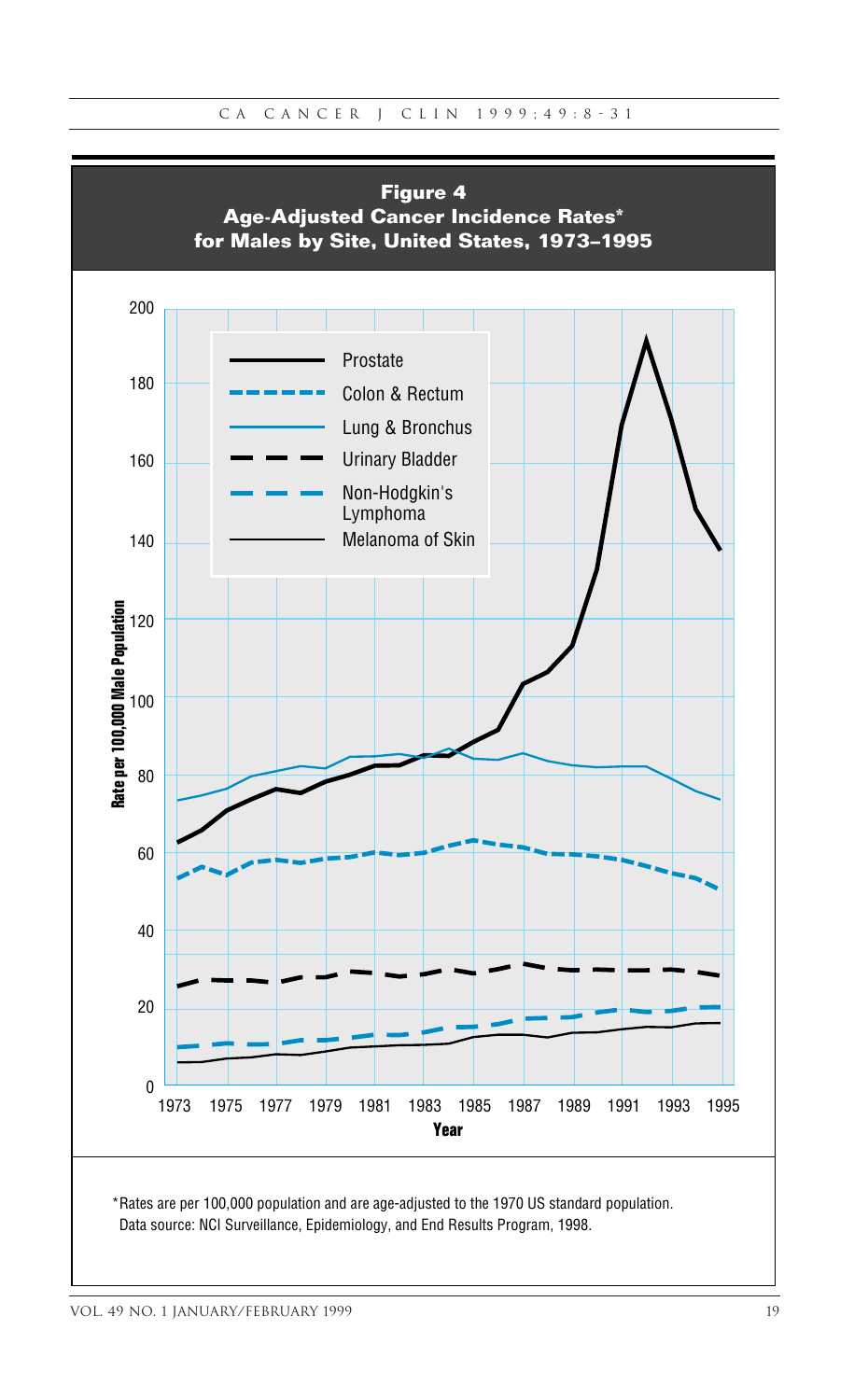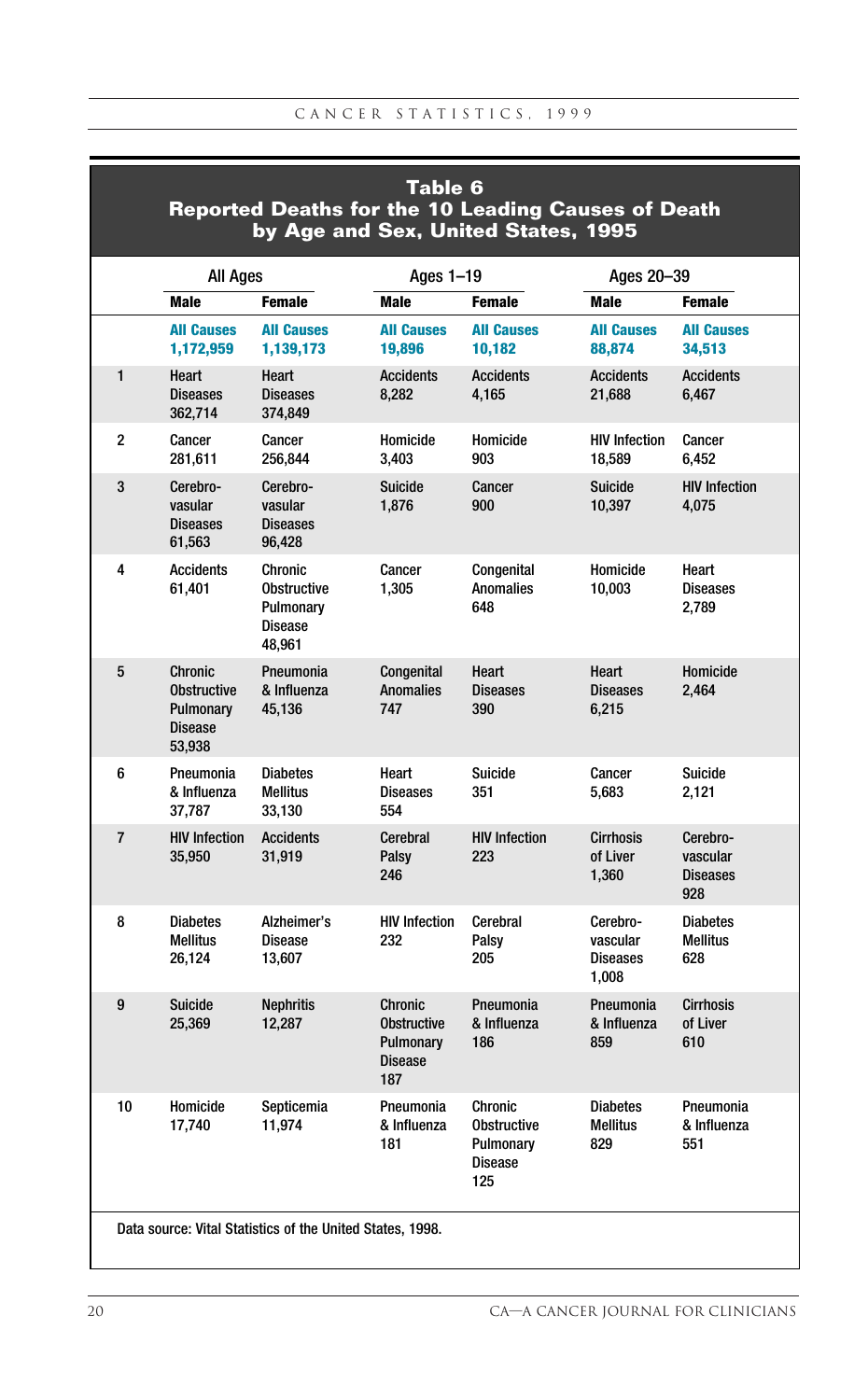|              | Table 6<br><b>Reported Deaths for the 10 Leading Causes of Death</b><br>by Age and Sex, United States, 1995 |                                                                        |                                                                     |                                                                            |                                                  |                                                |  |  |  |  |  |
|--------------|-------------------------------------------------------------------------------------------------------------|------------------------------------------------------------------------|---------------------------------------------------------------------|----------------------------------------------------------------------------|--------------------------------------------------|------------------------------------------------|--|--|--|--|--|
|              | All Ages                                                                                                    |                                                                        | Ages 1-19                                                           |                                                                            | Ages 20-39                                       |                                                |  |  |  |  |  |
|              | <b>Male</b>                                                                                                 | <b>Female</b>                                                          | Male                                                                | <b>Female</b>                                                              | Male                                             | <b>Female</b>                                  |  |  |  |  |  |
|              | <b>All Causes</b><br>1,172,959                                                                              | <b>All Causes</b><br>1,139,173                                         | <b>All Causes</b><br>19,896                                         | <b>All Causes</b><br>10,182                                                | <b>All Causes</b><br>88,874                      | <b>All Causes</b><br>34,513                    |  |  |  |  |  |
| $\mathbf{1}$ | Heart<br><b>Diseases</b><br>362,714                                                                         | Heart<br><b>Diseases</b><br>374,849                                    | <b>Accidents</b><br>8,282                                           | <b>Accidents</b><br>4,165                                                  | <b>Accidents</b><br>21,688                       | <b>Accidents</b><br>6,467                      |  |  |  |  |  |
| 2            | Cancer<br>281,611                                                                                           | Cancer<br>256,844                                                      | Homicide<br>3,403                                                   | Homicide<br>903                                                            | <b>HIV Infection</b><br>18,589                   | Cancer<br>6,452                                |  |  |  |  |  |
| 3            | Cerebro-<br>vasular<br><b>Diseases</b><br>61,563                                                            | Cerebro-<br>vasular<br><b>Diseases</b><br>96,428                       | <b>Suicide</b><br>1,876                                             | Cancer<br>900                                                              | <b>Suicide</b><br>10,397                         | <b>HIV Infection</b><br>4.075                  |  |  |  |  |  |
| 4            | <b>Accidents</b><br>61,401                                                                                  | Chronic<br><b>Obstructive</b><br>Pulmonary<br><b>Disease</b><br>48,961 | Cancer<br>1,305                                                     | Congenital<br><b>Anomalies</b><br>648                                      | Homicide<br>10,003                               | Heart<br><b>Diseases</b><br>2,789              |  |  |  |  |  |
| 5            | <b>Chronic</b><br><b>Obstructive</b><br>Pulmonary<br><b>Disease</b><br>53,938                               | Pneumonia<br>& Influenza<br>45,136                                     | Congenital<br><b>Anomalies</b><br>747                               | Heart<br><b>Diseases</b><br>390                                            | Heart<br><b>Diseases</b><br>6,215                | Homicide<br>2,464                              |  |  |  |  |  |
| 6            | Pneumonia<br>& Influenza<br>37,787                                                                          | <b>Diabetes</b><br><b>Mellitus</b><br>33,130                           | Heart<br><b>Diseases</b><br>554                                     | Suicide<br>351                                                             | Cancer<br>5,683                                  | Suicide<br>2,121                               |  |  |  |  |  |
| 7            | <b>HIV Infection</b><br>35,950                                                                              | <b>Accidents</b><br>31,919                                             | Cerebral<br>Palsy<br>246                                            | <b>HIV Infection</b><br>223                                                | <b>Cirrhosis</b><br>of Liver<br>1,360            | Cerebro-<br>vascular<br><b>Diseases</b><br>928 |  |  |  |  |  |
| 8            | <b>Diabetes</b><br><b>Mellitus</b><br>26,124                                                                | Alzheimer's<br><b>Disease</b><br>13,607                                | <b>HIV Infection</b><br>232                                         | Cerebral<br>Palsy<br>205                                                   | Cerebro-<br>vascular<br><b>Diseases</b><br>1,008 | <b>Diabetes</b><br><b>Mellitus</b><br>628      |  |  |  |  |  |
| 9            | Suicide<br>25,369                                                                                           | <b>Nephritis</b><br>12,287                                             | Chronic<br><b>Obstructive</b><br>Pulmonary<br><b>Disease</b><br>187 | Pneumonia<br>& Influenza<br>186                                            | Pneumonia<br>& Influenza<br>859                  | Cirrhosis<br>of Liver<br>610                   |  |  |  |  |  |
| 10           | Homicide<br>17,740                                                                                          | Septicemia<br>11,974                                                   | Pneumonia<br>& Influenza<br>181                                     | <b>Chronic</b><br><b>Obstructive</b><br>Pulmonary<br><b>Disease</b><br>125 | <b>Diabetes</b><br><b>Mellitus</b><br>829        | Pneumonia<br>& Influenza<br>551                |  |  |  |  |  |
|              |                                                                                                             | Data source: Vital Statistics of the United States, 1998.              |                                                                     |                                                                            |                                                  |                                                |  |  |  |  |  |

ı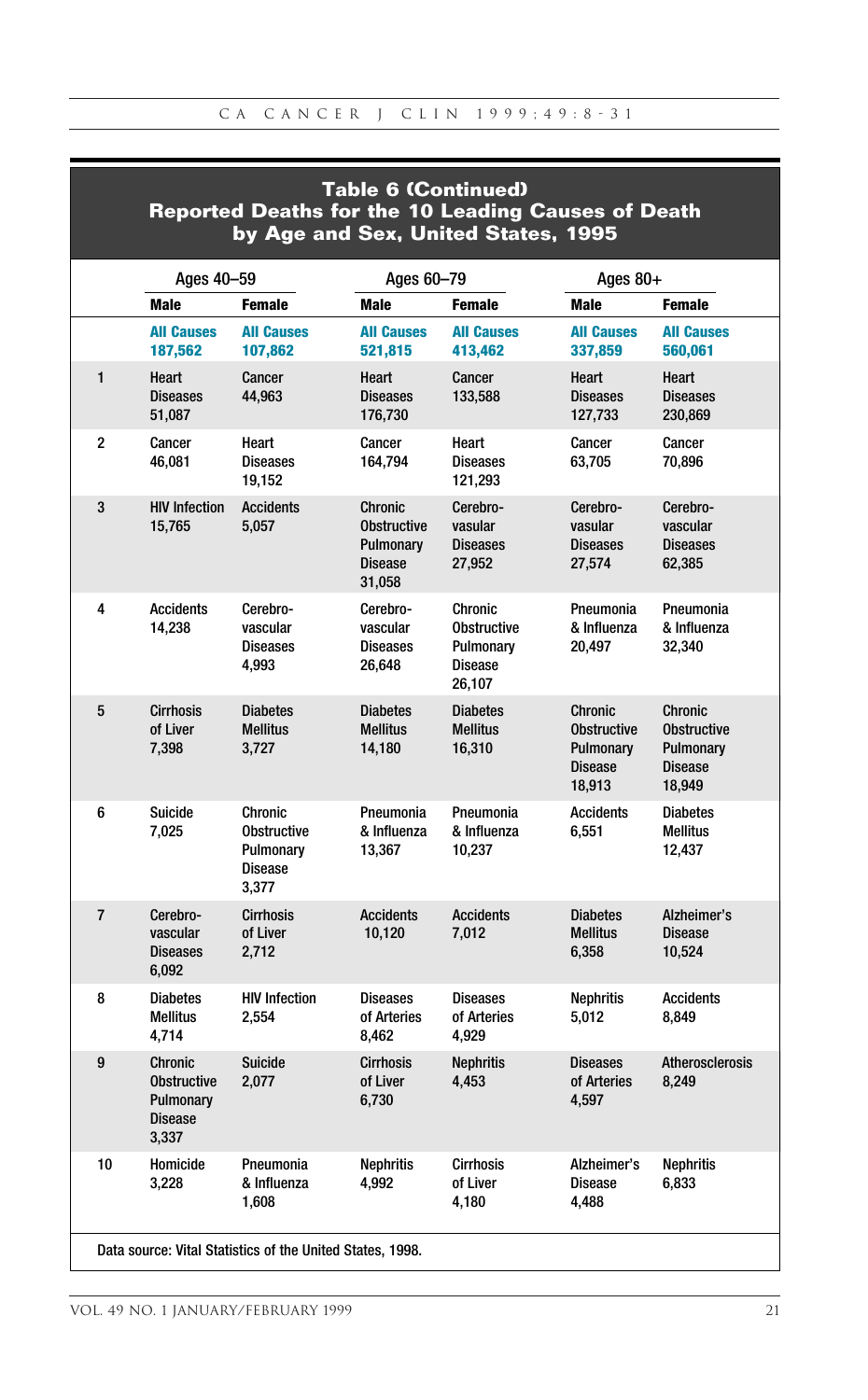| <b>Table 6 (Continued)</b><br><b>Reported Deaths for the 10 Leading Causes of Death</b><br>by Age and Sex, United States, 1995 |                                                                              |                                                                       |                                                                               |                                                                        |                                                                               |                                                                               |  |  |  |  |
|--------------------------------------------------------------------------------------------------------------------------------|------------------------------------------------------------------------------|-----------------------------------------------------------------------|-------------------------------------------------------------------------------|------------------------------------------------------------------------|-------------------------------------------------------------------------------|-------------------------------------------------------------------------------|--|--|--|--|
|                                                                                                                                | Ages 40-59                                                                   |                                                                       | Ages 60-79                                                                    |                                                                        | Ages $80+$                                                                    |                                                                               |  |  |  |  |
|                                                                                                                                | <b>Male</b>                                                                  | <b>Female</b>                                                         | <b>Male</b>                                                                   | <b>Female</b>                                                          | Male                                                                          | <b>Female</b>                                                                 |  |  |  |  |
|                                                                                                                                | <b>All Causes</b><br>187,562                                                 | <b>All Causes</b><br>107,862                                          | <b>All Causes</b><br>521,815                                                  | <b>All Causes</b><br>413,462                                           | <b>All Causes</b><br>337,859                                                  | <b>All Causes</b><br>560,061                                                  |  |  |  |  |
| $\mathbf{1}$                                                                                                                   | Heart<br><b>Diseases</b><br>51,087                                           | Cancer<br>44,963                                                      | Heart<br><b>Diseases</b><br>176,730                                           | Cancer<br>133,588                                                      | Heart<br><b>Diseases</b><br>127,733                                           | Heart<br><b>Diseases</b><br>230,869                                           |  |  |  |  |
| 2                                                                                                                              | Cancer<br>46,081                                                             | Heart<br><b>Diseases</b><br>19,152                                    | Cancer<br>164,794                                                             | Heart<br><b>Diseases</b><br>121,293                                    | Cancer<br>63,705                                                              | Cancer<br>70,896                                                              |  |  |  |  |
| 3                                                                                                                              | <b>HIV Infection</b><br>15,765                                               | <b>Accidents</b><br>5,057                                             | <b>Chronic</b><br><b>Obstructive</b><br>Pulmonary<br><b>Disease</b><br>31,058 | Cerebro-<br>vasular<br><b>Diseases</b><br>27,952                       | Cerebro-<br>vasular<br><b>Diseases</b><br>27,574                              | Cerebro-<br>vascular<br><b>Diseases</b><br>62,385                             |  |  |  |  |
| 4                                                                                                                              | Accidents<br>14,238                                                          | Cerebro-<br>vascular<br><b>Diseases</b><br>4,993                      | Cerebro-<br>vascular<br><b>Diseases</b><br>26,648                             | Chronic<br><b>Obstructive</b><br>Pulmonary<br><b>Disease</b><br>26,107 | Pneumonia<br>& Influenza<br>20,497                                            | Pneumonia<br>& Influenza<br>32,340                                            |  |  |  |  |
| 5                                                                                                                              | <b>Cirrhosis</b><br>of Liver<br>7,398                                        | <b>Diabetes</b><br><b>Mellitus</b><br>3,727                           | <b>Diabetes</b><br><b>Mellitus</b><br>14,180                                  | <b>Diabetes</b><br><b>Mellitus</b><br>16,310                           | <b>Chronic</b><br><b>Obstructive</b><br>Pulmonary<br><b>Disease</b><br>18,913 | <b>Chronic</b><br><b>Obstructive</b><br>Pulmonary<br><b>Disease</b><br>18,949 |  |  |  |  |
| 6                                                                                                                              | Suicide<br>7,025                                                             | Chronic<br><b>Obstructive</b><br>Pulmonary<br><b>Disease</b><br>3,377 | Pneumonia<br>& Influenza<br>13,367                                            | Pneumonia<br>& Influenza<br>10,237                                     | <b>Accidents</b><br>6,551                                                     | <b>Diabetes</b><br><b>Mellitus</b><br>12,437                                  |  |  |  |  |
| $\overline{7}$                                                                                                                 | Cerebro-<br>vascular<br><b>Diseases</b><br>6,092                             | <b>Cirrhosis</b><br>of Liver<br>2,712                                 | <b>Accidents</b><br>10,120                                                    | <b>Accidents</b><br>7,012                                              | <b>Diabetes</b><br><b>Mellitus</b><br>6,358                                   | Alzheimer's<br><b>Disease</b><br>10,524                                       |  |  |  |  |
| 8                                                                                                                              | <b>Diabetes</b><br><b>Mellitus</b><br>4,714                                  | <b>HIV Infection</b><br>2,554                                         | <b>Diseases</b><br>of Arteries<br>8,462                                       | <b>Diseases</b><br>of Arteries<br>4,929                                | <b>Nephritis</b><br>5,012                                                     | <b>Accidents</b><br>8,849                                                     |  |  |  |  |
| 9                                                                                                                              | <b>Chronic</b><br><b>Obstructive</b><br>Pulmonary<br><b>Disease</b><br>3,337 | <b>Suicide</b><br>2,077                                               | <b>Cirrhosis</b><br>of Liver<br>6,730                                         | <b>Nephritis</b><br>4,453                                              | <b>Diseases</b><br>of Arteries<br>4,597                                       | <b>Atherosclerosis</b><br>8,249                                               |  |  |  |  |
| 10                                                                                                                             | Homicide<br>3,228                                                            | Pneumonia<br>& Influenza<br>1,608                                     | <b>Nephritis</b><br>4,992                                                     | <b>Cirrhosis</b><br>of Liver<br>4,180                                  | Alzheimer's<br><b>Disease</b><br>4,488                                        | <b>Nephritis</b><br>6,833                                                     |  |  |  |  |
|                                                                                                                                |                                                                              | Data source: Vital Statistics of the United States, 1998.             |                                                                               |                                                                        |                                                                               |                                                                               |  |  |  |  |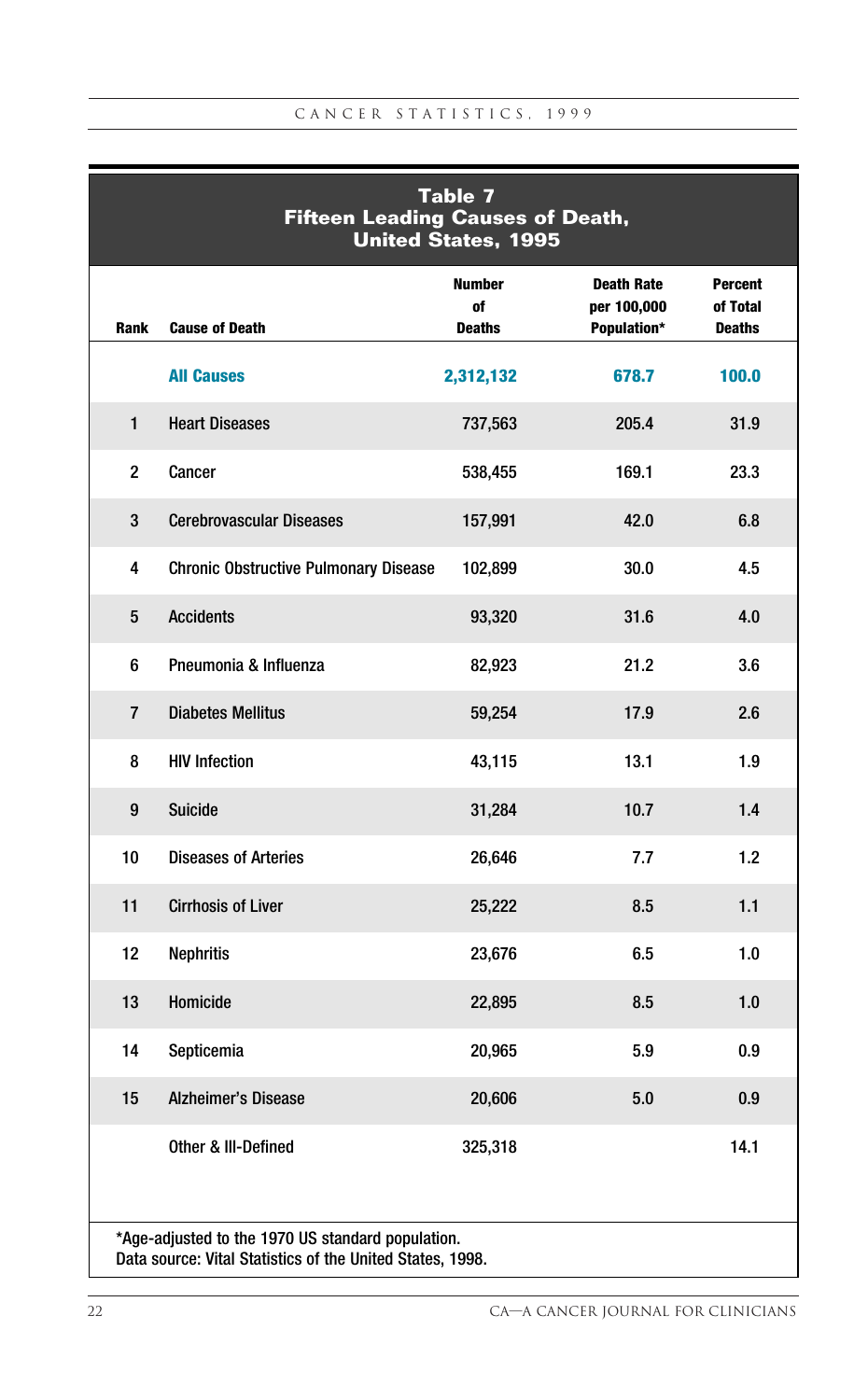|                | <b>Table 7</b><br><b>Fifteen Leading Causes of Death,</b><br><b>United States, 1995</b>                        |                                      |                                                 |                                             |  |  |  |  |  |  |
|----------------|----------------------------------------------------------------------------------------------------------------|--------------------------------------|-------------------------------------------------|---------------------------------------------|--|--|--|--|--|--|
| Rank           | <b>Cause of Death</b>                                                                                          | <b>Number</b><br>of<br><b>Deaths</b> | <b>Death Rate</b><br>per 100,000<br>Population* | <b>Percent</b><br>of Total<br><b>Deaths</b> |  |  |  |  |  |  |
|                | <b>All Causes</b>                                                                                              | 2,312,132                            | 678.7                                           | 100.0                                       |  |  |  |  |  |  |
| $\mathbf{1}$   | <b>Heart Diseases</b>                                                                                          | 737,563                              | 205.4                                           | 31.9                                        |  |  |  |  |  |  |
| $\overline{c}$ | Cancer                                                                                                         | 538,455                              | 169.1                                           | 23.3                                        |  |  |  |  |  |  |
| 3              | <b>Cerebrovascular Diseases</b>                                                                                | 157,991                              | 42.0                                            | 6.8                                         |  |  |  |  |  |  |
| 4              | <b>Chronic Obstructive Pulmonary Disease</b>                                                                   | 102,899                              | 30.0                                            | 4.5                                         |  |  |  |  |  |  |
| 5              | <b>Accidents</b>                                                                                               | 93,320                               | 31.6                                            | 4.0                                         |  |  |  |  |  |  |
| 6              | Pneumonia & Influenza                                                                                          | 82,923                               | 21.2                                            | 3.6                                         |  |  |  |  |  |  |
| $\overline{7}$ | <b>Diabetes Mellitus</b>                                                                                       | 59,254                               | 17.9                                            | 2.6                                         |  |  |  |  |  |  |
| 8              | <b>HIV Infection</b>                                                                                           | 43,115                               | 13.1                                            | 1.9                                         |  |  |  |  |  |  |
| 9              | <b>Suicide</b>                                                                                                 | 31,284                               | 10.7                                            | 1.4                                         |  |  |  |  |  |  |
| 10             | <b>Diseases of Arteries</b>                                                                                    | 26,646                               | 7.7                                             | 1.2                                         |  |  |  |  |  |  |
| 11             | <b>Cirrhosis of Liver</b>                                                                                      | 25,222                               | 8.5                                             | 1.1                                         |  |  |  |  |  |  |
| 12             | <b>Nephritis</b>                                                                                               | 23,676                               | 6.5                                             | 1.0                                         |  |  |  |  |  |  |
| 13             | Homicide                                                                                                       | 22,895                               | 8.5                                             | 1.0                                         |  |  |  |  |  |  |
| 14             | Septicemia                                                                                                     | 20,965                               | 5.9                                             | 0.9                                         |  |  |  |  |  |  |
| 15             | <b>Alzheimer's Disease</b>                                                                                     | 20,606                               | 5.0                                             | 0.9                                         |  |  |  |  |  |  |
|                | Other & III-Defined                                                                                            | 325,318                              |                                                 | 14.1                                        |  |  |  |  |  |  |
|                | *Age-adjusted to the 1970 US standard population.<br>Data source: Vital Statistics of the United States, 1998. |                                      |                                                 |                                             |  |  |  |  |  |  |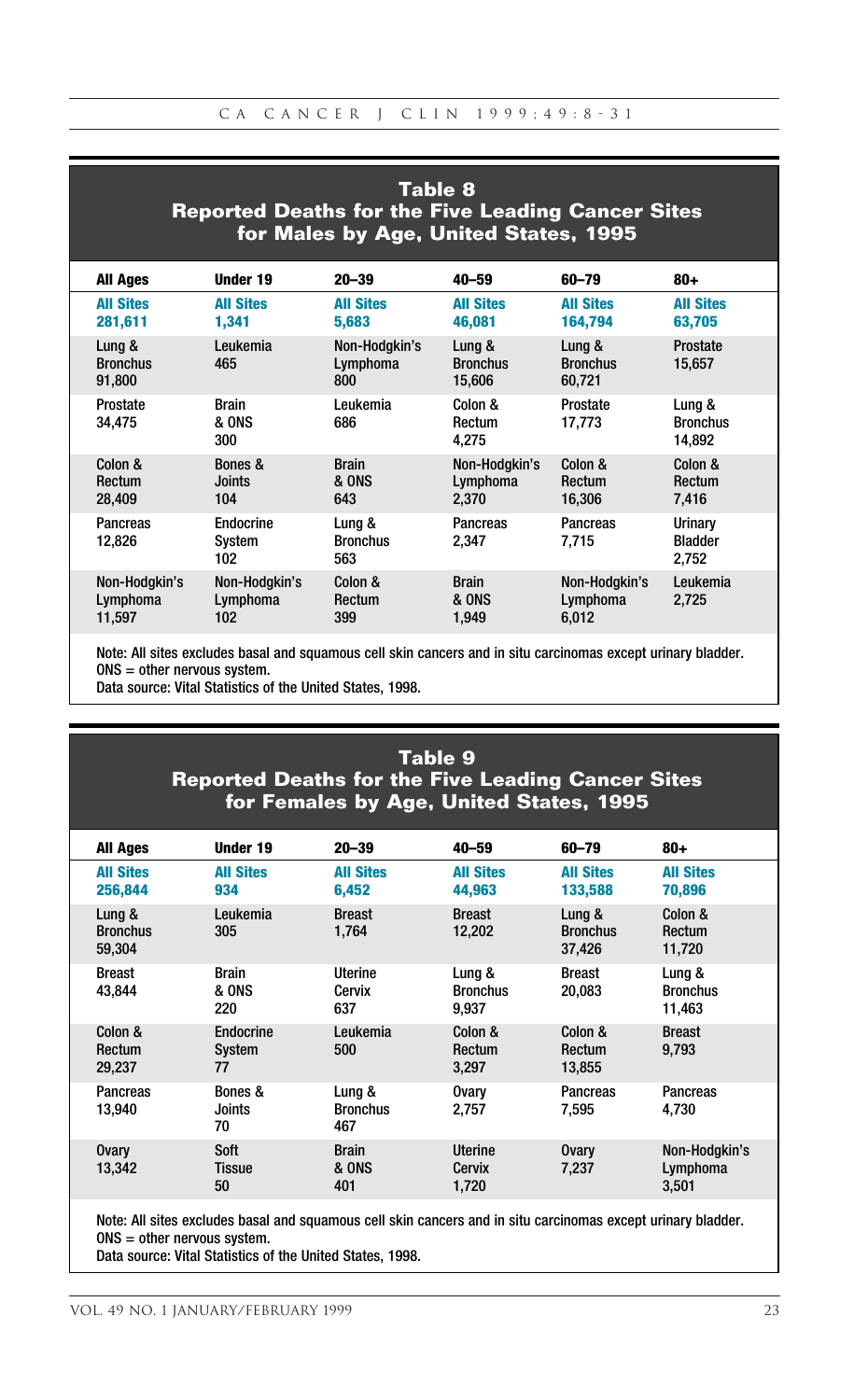# **Table 8 Reported Deaths for the Five Leading Cancer Sites for Males by Age, United States, 1995**

| <b>All Ages</b>                     | Under 19                                | $20 - 39$                               | $40 - 59$                                 | 60-79                               | $80 +$                              |
|-------------------------------------|-----------------------------------------|-----------------------------------------|-------------------------------------------|-------------------------------------|-------------------------------------|
| <b>All Sites</b><br>281,611         | <b>All Sites</b><br>1.341               | <b>All Sites</b><br>5,683               | <b>All Sites</b><br>46,081                | <b>All Sites</b><br>164,794         | <b>All Sites</b><br>63,705          |
| Lung &<br><b>Bronchus</b><br>91,800 | Leukemia<br>465                         | Non-Hodgkin's<br>Lymphoma<br>800        | Lung &<br><b>Bronchus</b><br>15,606       | Lung &<br><b>Bronchus</b><br>60,721 | Prostate<br>15.657                  |
| Prostate<br>34,475                  | <b>Brain</b><br><b>&amp; ONS</b><br>300 | Leukemia<br>686                         | Colon &<br>Rectum<br>4.275                | Prostate<br>17.773                  | Lung &<br><b>Bronchus</b><br>14.892 |
| Colon &<br>Rectum<br>28,409         | Bones &<br>Joints<br>104                | <b>Brain</b><br><b>&amp; ONS</b><br>643 | Non-Hodgkin's<br>Lymphoma<br>2.370        | Colon &<br>Rectum<br>16.306         | Colon &<br>Rectum<br>7,416          |
| Pancreas<br>12.826                  | Endocrine<br>System<br>102              | Lung &<br><b>Bronchus</b><br>563        | Pancreas<br>2.347                         | Pancreas<br>7.715                   | Urinary<br><b>Bladder</b><br>2,752  |
| Non-Hodgkin's<br>Lymphoma<br>11.597 | Non-Hodgkin's<br>Lymphoma<br>102        | Colon &<br>Rectum<br>399                | <b>Brain</b><br><b>&amp; ONS</b><br>1.949 | Non-Hodgkin's<br>Lymphoma<br>6.012  | Leukemia<br>2.725                   |

Note: All sites excludes basal and squamous cell skin cancers and in situ carcinomas except urinary bladder. ONS = other nervous system.

Data source: Vital Statistics of the United States, 1998.

#### **Table 9 Reported Deaths for the Five Leading Cancer Sites for Females by Age, United States, 1995**

| <b>All Ages</b>                     | Under 19                     | $20 - 39$                               | $40 - 59$                          | 60-79                               | $80 +$                              |
|-------------------------------------|------------------------------|-----------------------------------------|------------------------------------|-------------------------------------|-------------------------------------|
| <b>All Sites</b><br>256,844         | <b>All Sites</b><br>934      | <b>All Sites</b><br>6.452               | <b>All Sites</b><br>44,963         | <b>All Sites</b><br>133,588         | <b>All Sites</b><br>70,896          |
| Lung &<br><b>Bronchus</b><br>59.304 | Leukemia<br>305              | <b>Breast</b><br>1.764                  | <b>Breast</b><br>12.202            | Lung &<br><b>Bronchus</b><br>37.426 | Colon &<br>Rectum<br>11.720         |
| <b>Breast</b><br>43.844             | <b>Brain</b><br>& ONS<br>220 | Uterine<br>Cervix<br>637                | Lung &<br><b>Bronchus</b><br>9.937 | <b>Breast</b><br>20.083             | Lung &<br><b>Bronchus</b><br>11.463 |
| Colon &<br>Rectum<br>29.237         | Endocrine<br>System<br>77    | Leukemia<br>500                         | Colon &<br>Rectum<br>3.297         | Colon &<br>Rectum<br>13.855         | <b>Breast</b><br>9.793              |
| Pancreas<br>13.940                  | Bones &<br>Joints<br>70      | Lung &<br><b>Bronchus</b><br>467        | <b>Ovary</b><br>2.757              | Pancreas<br>7.595                   | Pancreas<br>4.730                   |
| <b>Ovary</b><br>13,342              | Soft<br>Tissue<br>50         | <b>Brain</b><br><b>&amp; ONS</b><br>401 | Uterine<br>Cervix<br>1,720         | <b>Ovary</b><br>7.237               | Non-Hodgkin's<br>Lymphoma<br>3,501  |

Note: All sites excludes basal and squamous cell skin cancers and in situ carcinomas except urinary bladder. ONS = other nervous system.

Data source: Vital Statistics of the United States, 1998.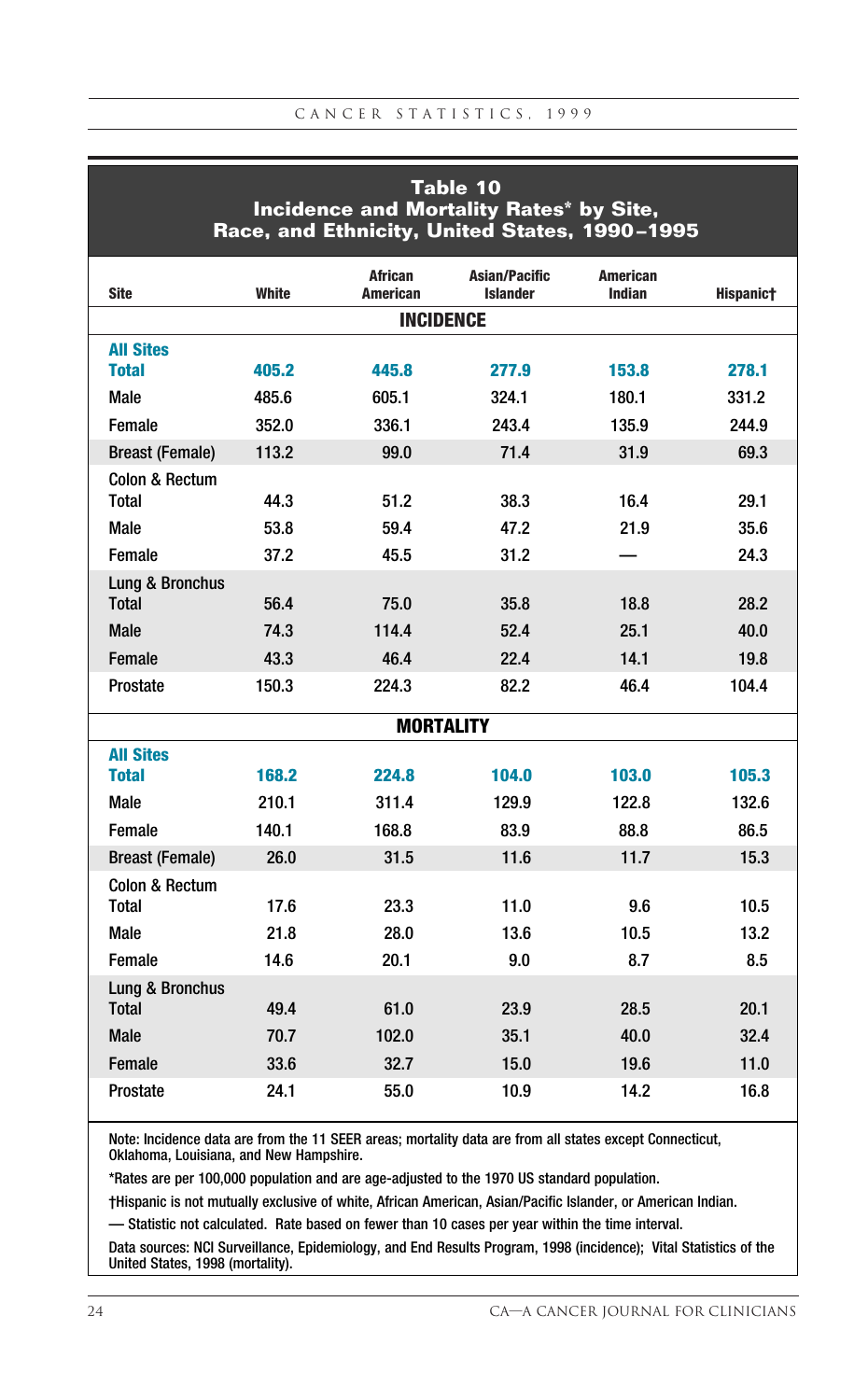| Table 10<br>Incidence and Mortality Rates* by Site,<br>Race, and Ethnicity, United States, 1990-1995 |              |                                   |                                  |                                  |           |  |  |  |  |
|------------------------------------------------------------------------------------------------------|--------------|-----------------------------------|----------------------------------|----------------------------------|-----------|--|--|--|--|
| <b>Site</b>                                                                                          | <b>White</b> | <b>African</b><br><b>American</b> | Asian/Pacific<br><b>Islander</b> | <b>American</b><br><b>Indian</b> | Hispanic† |  |  |  |  |
|                                                                                                      |              | <b>INCIDENCE</b>                  |                                  |                                  |           |  |  |  |  |
| <b>All Sites</b>                                                                                     |              |                                   |                                  |                                  |           |  |  |  |  |
| <b>Total</b>                                                                                         | 405.2        | 445.8                             | 277.9                            | 153.8                            | 278.1     |  |  |  |  |
| Male                                                                                                 | 485.6        | 605.1                             | 324.1                            | 180.1                            | 331.2     |  |  |  |  |
| Female                                                                                               | 352.0        | 336.1                             | 243.4                            | 135.9                            | 244.9     |  |  |  |  |
| <b>Breast (Female)</b>                                                                               | 113.2        | 99.0                              | 71.4                             | 31.9                             | 69.3      |  |  |  |  |
| Colon & Rectum<br>Total                                                                              |              | 51.2                              |                                  |                                  | 29.1      |  |  |  |  |
| Male                                                                                                 | 44.3<br>53.8 | 59.4                              | 38.3<br>47.2                     | 16.4<br>21.9                     | 35.6      |  |  |  |  |
|                                                                                                      |              |                                   |                                  |                                  |           |  |  |  |  |
| Female                                                                                               | 37.2         | 45.5                              | 31.2                             |                                  | 24.3      |  |  |  |  |
| Lung & Bronchus<br><b>Total</b>                                                                      | 56.4         | 75.0                              | 35.8                             | 18.8                             | 28.2      |  |  |  |  |
| Male                                                                                                 | 74.3         | 114.4                             | 52.4                             | 25.1                             | 40.0      |  |  |  |  |
| Female                                                                                               | 43.3         | 46.4                              | 22.4                             | 14.1                             | 19.8      |  |  |  |  |
| Prostate                                                                                             | 150.3        | 224.3                             | 82.2                             | 46.4                             | 104.4     |  |  |  |  |
|                                                                                                      |              | <b>MORTALITY</b>                  |                                  |                                  |           |  |  |  |  |
| <b>All Sites</b>                                                                                     |              |                                   |                                  |                                  |           |  |  |  |  |
| <b>Total</b>                                                                                         | 168.2        | 224.8                             | 104.0                            | 103.0                            | 105.3     |  |  |  |  |
| Male                                                                                                 | 210.1        | 311.4                             | 129.9                            | 122.8                            | 132.6     |  |  |  |  |
| Female                                                                                               | 140.1        | 168.8                             | 83.9                             | 88.8                             | 86.5      |  |  |  |  |
| <b>Breast (Female)</b>                                                                               | 26.0         | 31.5                              | 11.6                             | 11.7                             | 15.3      |  |  |  |  |
| Colon & Rectum                                                                                       |              |                                   |                                  |                                  |           |  |  |  |  |
| Total                                                                                                | 17.6         | 23.3                              | 11.0                             | 9.6                              | 10.5      |  |  |  |  |
| Male                                                                                                 | 21.8         | 28.0                              | 13.6                             | 10.5                             | 13.2      |  |  |  |  |
| Female                                                                                               | 14.6         | 20.1                              | 9.0                              | 8.7                              | 8.5       |  |  |  |  |
| Lung & Bronchus<br><b>Total</b>                                                                      | 49.4         | 61.0                              | 23.9                             | 28.5                             | 20.1      |  |  |  |  |
| Male                                                                                                 | 70.7         | 102.0                             | 35.1                             | 40.0                             | 32.4      |  |  |  |  |
| Female                                                                                               | 33.6         | 32.7                              | 15.0                             | 19.6                             | 11.0      |  |  |  |  |
| Prostate                                                                                             | 24.1         | 55.0                              | 10.9                             | 14.2                             | 16.8      |  |  |  |  |

Note: Incidence data are from the 11 SEER areas; mortality data are from all states except Connecticut, Oklahoma, Louisiana, and New Hampshire.

\*Rates are per 100,000 population and are age-adjusted to the 1970 US standard population.

†Hispanic is not mutually exclusive of white, African American, Asian/Pacific Islander, or American Indian.

— Statistic not calculated. Rate based on fewer than 10 cases per year within the time interval.

Data sources: NCI Surveillance, Epidemiology, and End Results Program, 1998 (incidence); Vital Statistics of the United States, 1998 (mortality).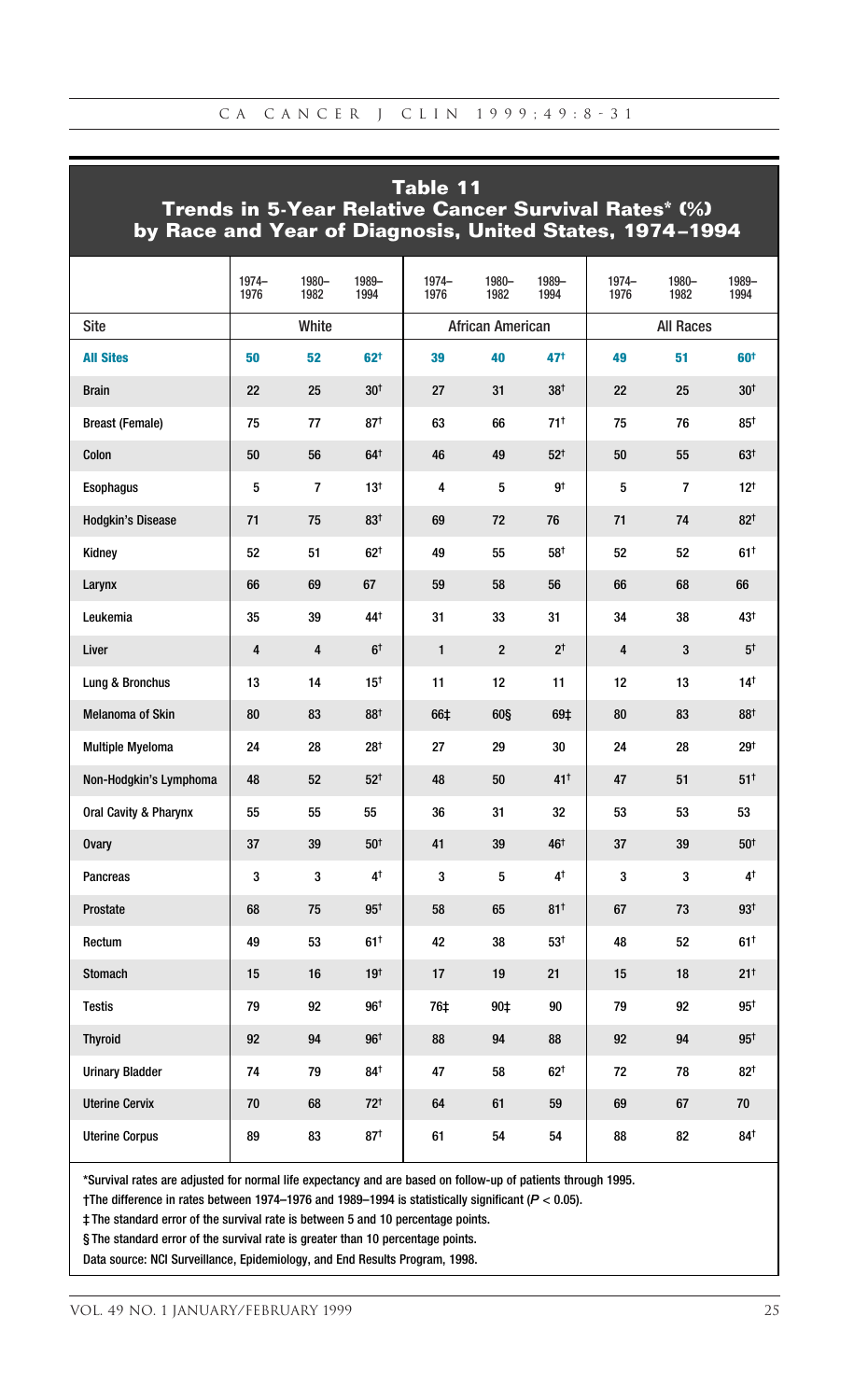|                                  | Table 11<br>Trends in 5-Year Relative Cancer Survival Rates* (%)<br>by Race and Year of Diagnosis, United States, 1974-1994 |                |                 |               |                  |                 |               |                  |                 |  |  |
|----------------------------------|-----------------------------------------------------------------------------------------------------------------------------|----------------|-----------------|---------------|------------------|-----------------|---------------|------------------|-----------------|--|--|
|                                  | $1974 -$<br>1976                                                                                                            | 1980-<br>1982  | 1989-<br>1994   | 1974-<br>1976 | 1980-<br>1982    | 1989-<br>1994   | 1974-<br>1976 | 1980-<br>1982    | 1989-<br>1994   |  |  |
| Site                             |                                                                                                                             | White          |                 |               | African American |                 |               | <b>All Races</b> |                 |  |  |
| <b>All Sites</b>                 | 50                                                                                                                          | 52             | 62 <sup>†</sup> | 39            | 40               | 47†             | 49            | 51               | 60 <sup>†</sup> |  |  |
| <b>Brain</b>                     | 22                                                                                                                          | 25             | 30 <sup>†</sup> | 27            | 31               | 38 <sup>†</sup> | 22            | 25               | 30 <sup>†</sup> |  |  |
| <b>Breast (Female)</b>           | 75                                                                                                                          | 77             | 87 <sup>†</sup> | 63            | 66               | $71^{\dagger}$  | 75            | 76               | 85 <sup>†</sup> |  |  |
| Colon                            | 50                                                                                                                          | 56             | $64^+$          | 46            | 49               | $52^{+}$        | 50            | 55               | $63+$           |  |  |
| <b>Esophagus</b>                 | 5                                                                                                                           | $\overline{7}$ | 13 <sup>†</sup> | 4             | 5                | gt              | 5             | $\overline{7}$   | 12 <sup>†</sup> |  |  |
| <b>Hodgkin's Disease</b>         | 71                                                                                                                          | 75             | 83 <sup>†</sup> | 69            | 72               | 76              | 71            | 74               | 82 <sup>†</sup> |  |  |
| Kidney                           | 52                                                                                                                          | 51             | $62^{+}$        | 49            | 55               | 58 <sup>+</sup> | 52            | 52               | 61 <sup>†</sup> |  |  |
| Larynx                           | 66                                                                                                                          | 69             | 67              | 59            | 58               | 56              | 66            | 68               | 66              |  |  |
| Leukemia                         | 35                                                                                                                          | 39             | 44 <sup>+</sup> | 31            | 33               | 31              | 34            | 38               | 43 <sup>t</sup> |  |  |
| Liver                            | 4                                                                                                                           | 4              | 6 <sup>†</sup>  | $\mathbf{1}$  | $\overline{2}$   | 2 <sup>†</sup>  | 4             | 3                | 5 <sup>†</sup>  |  |  |
| Lung & Bronchus                  | 13                                                                                                                          | 14             | 15 <sup>†</sup> | 11            | 12               | 11              | 12            | 13               | $14^{+}$        |  |  |
| <b>Melanoma of Skin</b>          | 80                                                                                                                          | 83             | 88 <sup>†</sup> | 66‡           | <b>60§</b>       | 69‡             | 80            | 83               | 88 <sup>†</sup> |  |  |
| <b>Multiple Myeloma</b>          | 24                                                                                                                          | 28             | 28 <sup>†</sup> | 27            | 29               | 30              | 24            | 28               | 29 <sup>†</sup> |  |  |
| Non-Hodgkin's Lymphoma           | 48                                                                                                                          | 52             | $52^{\dagger}$  | 48            | 50               | $41^+$          | 47            | 51               | $51^{\dagger}$  |  |  |
| <b>Oral Cavity &amp; Pharynx</b> | 55                                                                                                                          | 55             | 55              | 36            | 31               | 32              | 53            | 53               | 53              |  |  |
| <b>Ovary</b>                     | 37                                                                                                                          | 39             | 50 <sup>†</sup> | 41            | 39               | 46 <sup>†</sup> | 37            | 39               | 50 <sup>†</sup> |  |  |
| <b>Pancreas</b>                  | 3                                                                                                                           | 3              | 4 <sup>†</sup>  | 3             | 5                | 4 <sup>†</sup>  | 3             | 3                | 4†              |  |  |
| Prostate                         | 68                                                                                                                          | 75             | $95^{\dagger}$  | 58            | 65               | 81 <sup>†</sup> | 67            | 73               | $93^{+}$        |  |  |
| Rectum                           | 49                                                                                                                          | 53             | 61 <sup>†</sup> | 42            | 38               | $53+$           | 48            | 52               | 61 <sup>†</sup> |  |  |
| Stomach                          | 15                                                                                                                          | 16             | 19 <sup>†</sup> | 17            | 19               | 21              | 15            | 18               | $21^+$          |  |  |
| <b>Testis</b>                    | 79                                                                                                                          | 92             | 96 <sup>†</sup> | 76‡           | 90‡              | 90              | 79            | 92               | $95^{\dagger}$  |  |  |
| <b>Thyroid</b>                   | 92                                                                                                                          | 94             | 96 <sup>†</sup> | 88            | 94               | 88              | 92            | 94               | $95^{\dagger}$  |  |  |
| <b>Urinary Bladder</b>           | 74                                                                                                                          | 79             | 84 <sup>†</sup> | 47            | 58               | $62^{+}$        | 72            | 78               | $82^{+}$        |  |  |
| <b>Uterine Cervix</b>            | 70                                                                                                                          | 68             | $72^{+}$        | 64            | 61               | 59              | 69            | 67               | 70              |  |  |
| <b>Uterine Corpus</b>            | 89                                                                                                                          | 83             | 87 <sup>†</sup> | 61            | 54               | 54              | 88            | 82               | 84 <sup>+</sup> |  |  |

\*Survival rates are adjusted for normal life expectancy and are based on follow-up of patients through 1995.

†The difference in rates between 1974–1976 and 1989–1994 is statistically significant (*P* < 0.05).

‡ The standard error of the survival rate is between 5 and 10 percentage points.

§ The standard error of the survival rate is greater than 10 percentage points.

Data source: NCI Surveillance, Epidemiology, and End Results Program, 1998.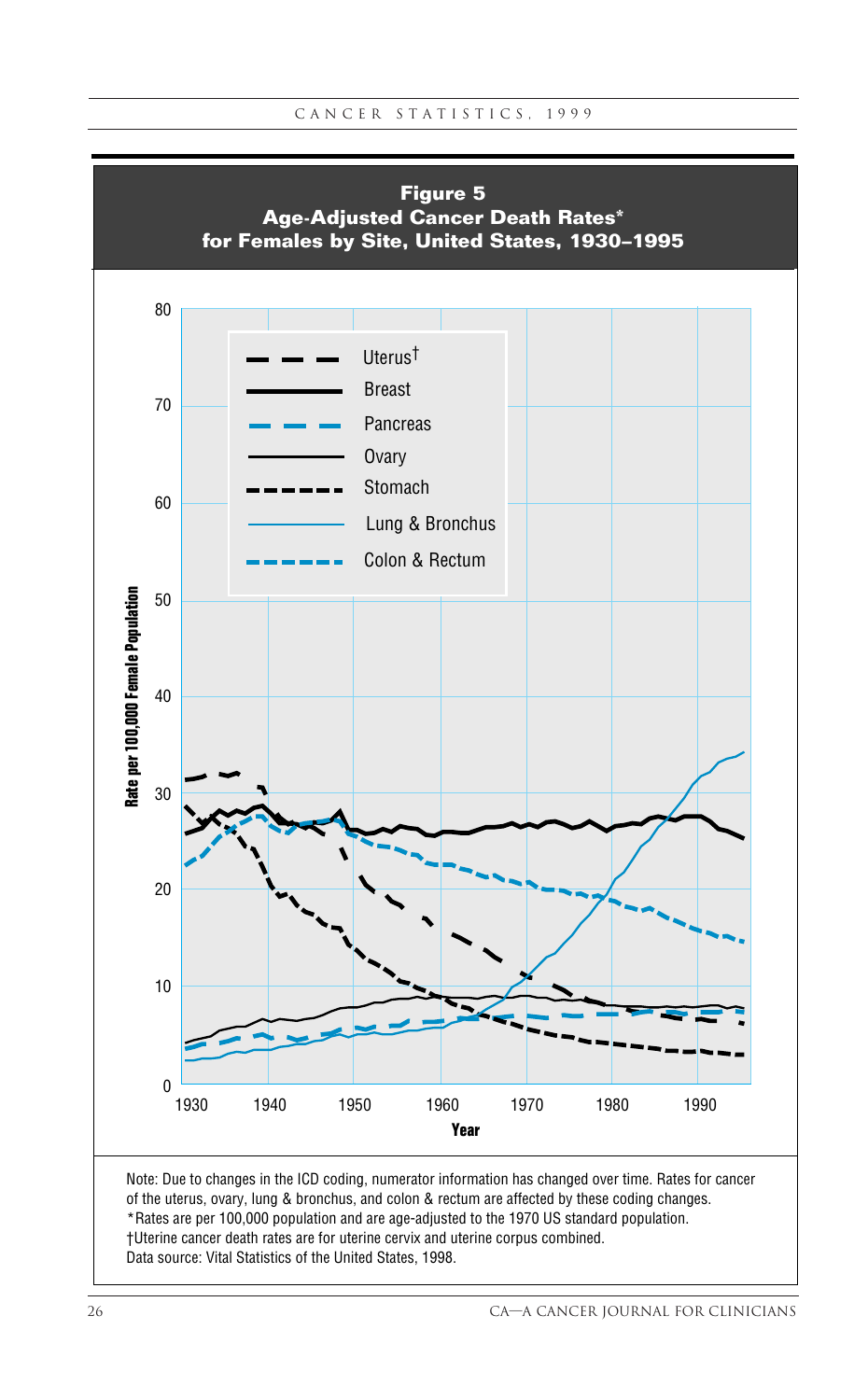

\*Rates are per 100,000 population and are age-adjusted to the 1970 US standard population.

†Uterine cancer death rates are for uterine cervix and uterine corpus combined. Data source: Vital Statistics of the United States, 1998.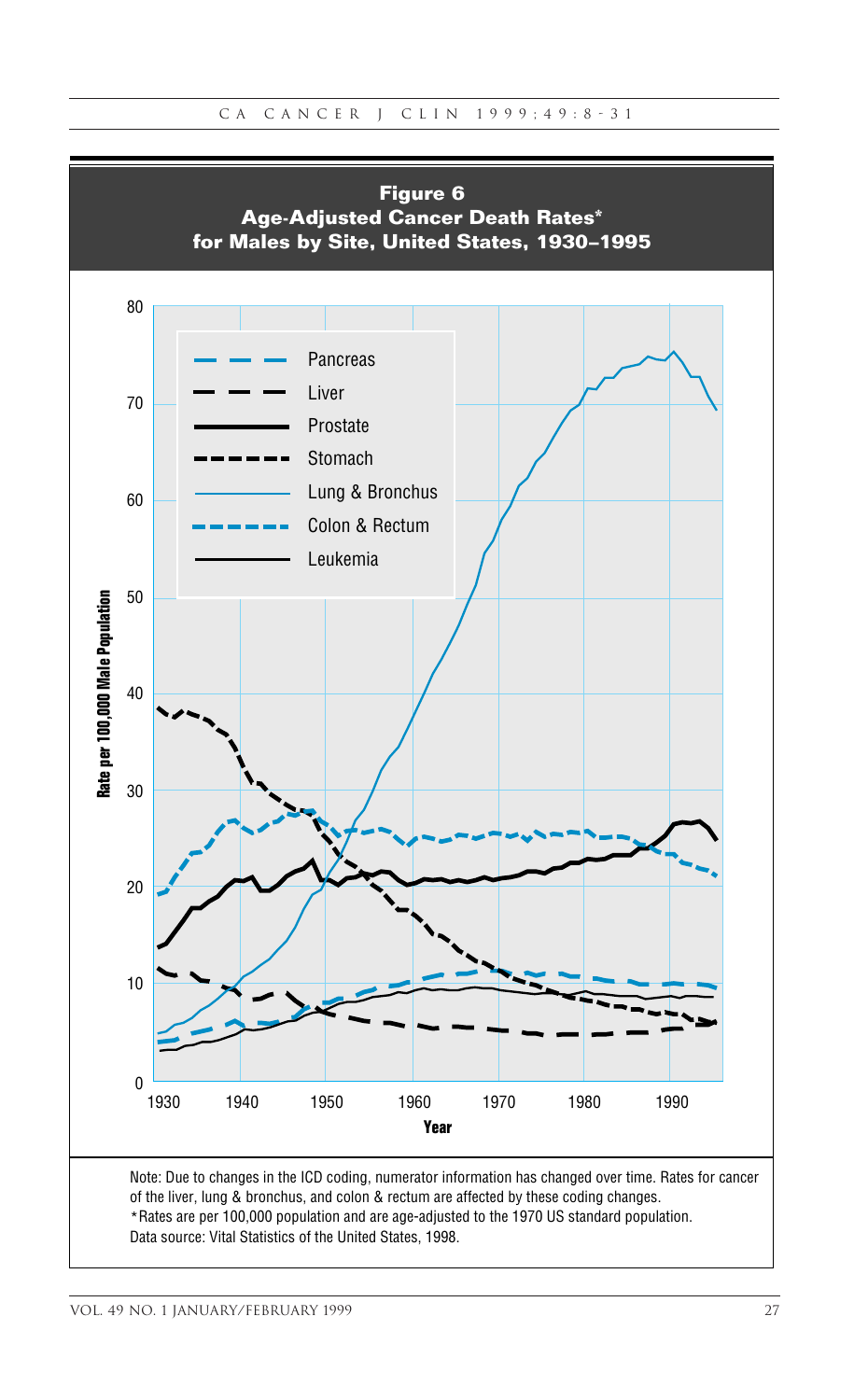

Data source: Vital Statistics of the United States, 1998.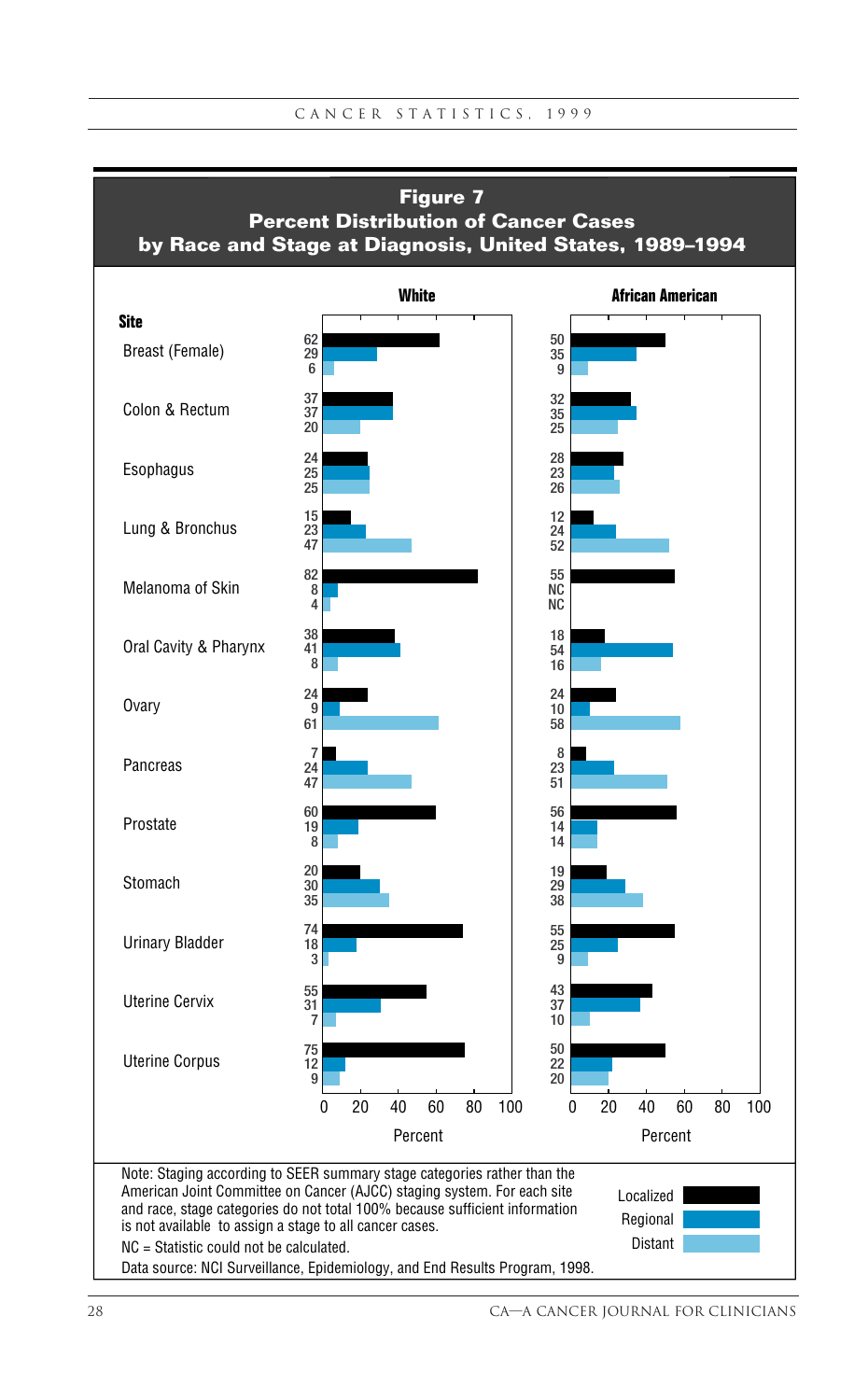![](_page_20_Figure_1.jpeg)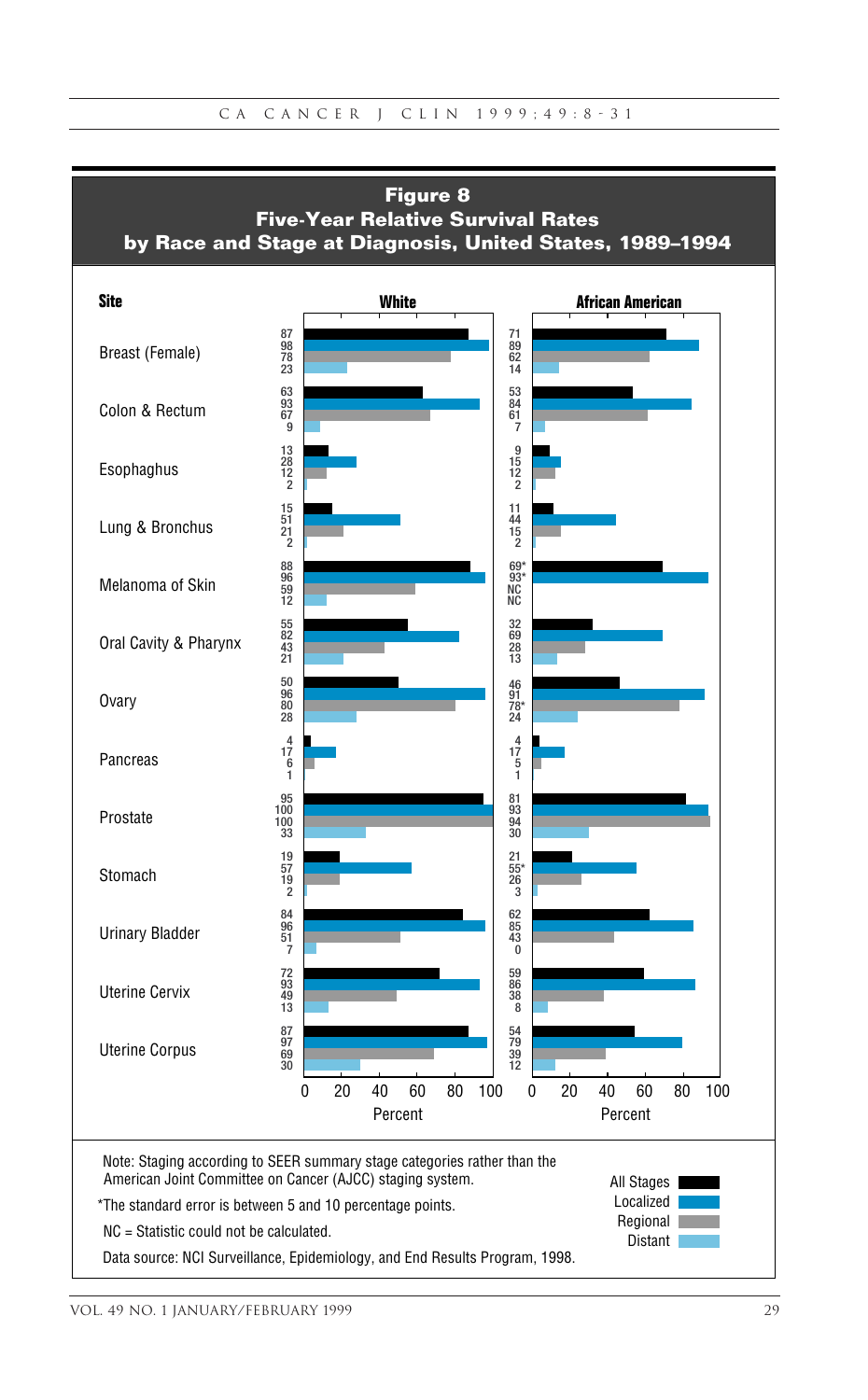![](_page_21_Figure_1.jpeg)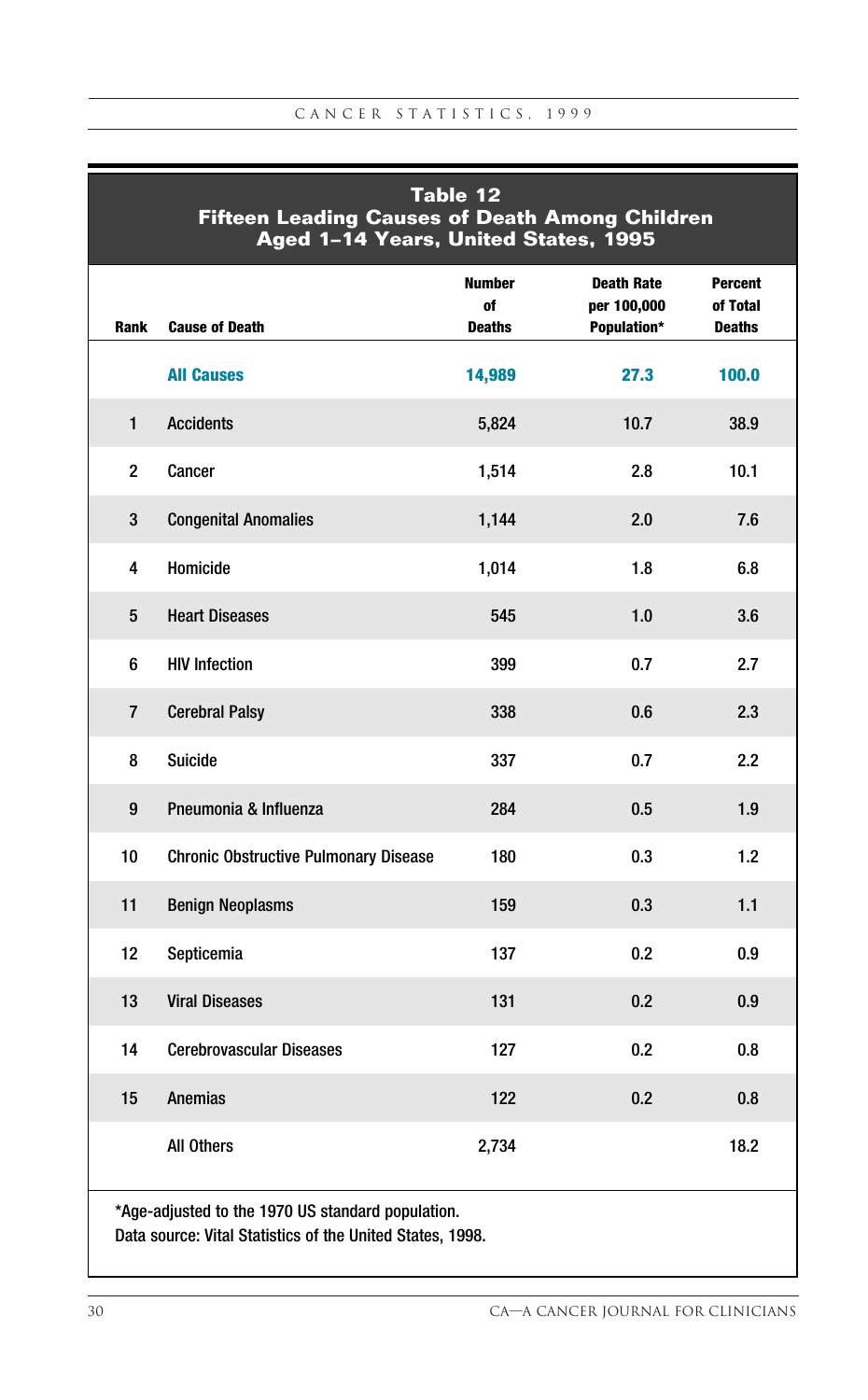| Table 12<br><b>Fifteen Leading Causes of Death Among Children</b><br>Aged 1-14 Years, United States, 1995 |                                              |                                      |                                                 |                                             |  |  |  |  |  |
|-----------------------------------------------------------------------------------------------------------|----------------------------------------------|--------------------------------------|-------------------------------------------------|---------------------------------------------|--|--|--|--|--|
| Rank                                                                                                      | <b>Cause of Death</b>                        | <b>Number</b><br>of<br><b>Deaths</b> | <b>Death Rate</b><br>per 100,000<br>Population* | <b>Percent</b><br>of Total<br><b>Deaths</b> |  |  |  |  |  |
|                                                                                                           | <b>All Causes</b>                            | 14,989                               | 27.3                                            | 100.0                                       |  |  |  |  |  |
| $\mathbf{1}$                                                                                              | <b>Accidents</b>                             | 5,824                                | 10.7                                            | 38.9                                        |  |  |  |  |  |
| $\overline{2}$                                                                                            | Cancer                                       | 1,514                                | 2.8                                             | 10.1                                        |  |  |  |  |  |
| 3                                                                                                         | <b>Congenital Anomalies</b>                  | 1,144                                | 2.0                                             | 7.6                                         |  |  |  |  |  |
| 4                                                                                                         | Homicide                                     | 1,014                                | 1.8                                             | 6.8                                         |  |  |  |  |  |
| 5                                                                                                         | <b>Heart Diseases</b>                        | 545                                  | 1.0                                             | 3.6                                         |  |  |  |  |  |
| 6                                                                                                         | <b>HIV Infection</b>                         | 399                                  | 0.7                                             | 2.7                                         |  |  |  |  |  |
| $\overline{7}$                                                                                            | <b>Cerebral Palsy</b>                        | 338                                  | 0.6                                             | 2.3                                         |  |  |  |  |  |
| 8                                                                                                         | <b>Suicide</b>                               | 337                                  | 0.7                                             | 2.2                                         |  |  |  |  |  |
| 9                                                                                                         | Pneumonia & Influenza                        | 284                                  | $0.5\,$                                         | 1.9                                         |  |  |  |  |  |
| 10                                                                                                        | <b>Chronic Obstructive Pulmonary Disease</b> | 180                                  | 0.3                                             | 1.2                                         |  |  |  |  |  |
| 11                                                                                                        | <b>Benign Neoplasms</b>                      | 159                                  | 0.3                                             | 1.1                                         |  |  |  |  |  |
| 12 <sup>2</sup>                                                                                           | Septicemia                                   | 137                                  | 0.2                                             | 0.9                                         |  |  |  |  |  |
| 13                                                                                                        | <b>Viral Diseases</b>                        | 131                                  | 0.2                                             | 0.9                                         |  |  |  |  |  |
| 14                                                                                                        | <b>Cerebrovascular Diseases</b>              | 127                                  | 0.2                                             | 0.8                                         |  |  |  |  |  |
| 15                                                                                                        | <b>Anemias</b>                               | 122                                  | 0.2                                             | 0.8                                         |  |  |  |  |  |
|                                                                                                           | All Others                                   | 2,734                                |                                                 | 18.2                                        |  |  |  |  |  |
| *Age-adjusted to the 1970 US standard population.                                                         |                                              |                                      |                                                 |                                             |  |  |  |  |  |

Data source: Vital Statistics of the United States, 1998.